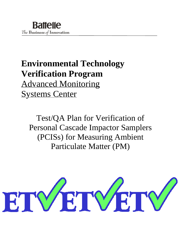# **Environmental Technology Verification Program**  Advanced Monitoring Systems Center

Test/QA Plan for Verification of Personal Cascade Impactor Samplers (PCISs) for Measuring Ambient Particulate Matter (PM)

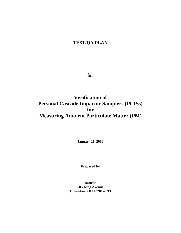# **TEST/QA PLAN**

**for** 

**Verification of Personal Cascade Impactor Samplers (PCISs) for Measuring Ambient Particulate Matter (PM)**

**January 11, 2006** 

**Prepared by** 

**Battelle 505 King Avenue Columbus, OH 43201-2693**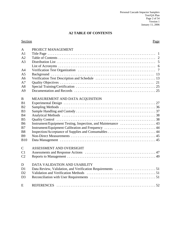# **A2 TABLE OF CONTENTS**

#### Section Page

| $\mathbf{A}$   | PROJECT MANAGEMENT                                 |
|----------------|----------------------------------------------------|
| A1             |                                                    |
| A2             |                                                    |
| A <sub>3</sub> |                                                    |
|                |                                                    |
| A <sub>4</sub> |                                                    |
| A <sub>5</sub> |                                                    |
| A <sub>6</sub> |                                                    |
| A7             |                                                    |
| A8             |                                                    |
| A <sup>9</sup> |                                                    |
| $\bf{B}$       | MEASUREMENT AND DATA ACQUISITION                   |
| B1             |                                                    |
| B <sub>2</sub> |                                                    |
| B <sub>3</sub> |                                                    |
| B <sub>4</sub> |                                                    |
| B <sub>5</sub> |                                                    |
| <b>B6</b>      |                                                    |
| B7             | Instrument/Equipment Calibration and Frequency  44 |
| <b>B8</b>      |                                                    |
| <b>B9</b>      |                                                    |
| <b>B10</b>     |                                                    |
| $\mathbf C$    | ASSESSMENT AND OVERSIGHT                           |
| C <sub>1</sub> |                                                    |
| C <sub>2</sub> |                                                    |
| D              | DATA VALIDATION AND USABILITY                      |
| D1             |                                                    |
| D2             |                                                    |
| D <sub>3</sub> |                                                    |
| E              |                                                    |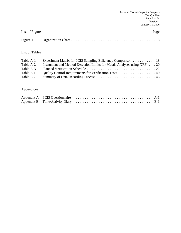| <b>List of Figures</b> | Page |
|------------------------|------|
|                        |      |

# List of Tables

| Table A-1 |                                                                          |
|-----------|--------------------------------------------------------------------------|
| Table A-2 | Instrument and Method Detection Limits for Metals Analyses using XRF  20 |
| Table A-3 |                                                                          |
| Table B-1 |                                                                          |
| Table B-2 |                                                                          |

# **Appendices**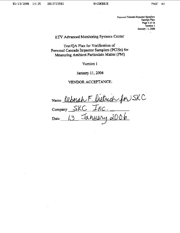Personal Cascade Impactor Samplers Test/QA Plan Page 4 of 54 Version 1 January 11, 2006

# ETV Advanced Monitoring Systems Center

Test/QA Plan for Verification of Personal Cascade Impactor Samplers (PCISs) for Measuring Ambient Particulate Matter (PM)

Version 1

January 11, 2006

VENDOR ACCEPTANCE:

Name Deborah F. Dietrich for SKC<br>Company SKC Inc.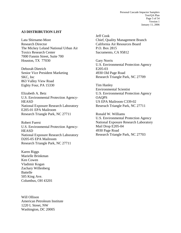Personal Cascade Impactor Samplers Test/QA Plan Page 5 of 54 Version 1 January 11, 2006

#### **A3 DISTRIBUTION LIST**

Lata Shirname-More Research Director The Mickey Leland National Urban Air Toxics Research Center 7000 Fannin Street, Suite 700 Houston, TX 77030

Deborah Dietrich Senior Vice President Marketing SKC, Inc 863 Valley View Road Eighty Four, PA 15330

Elizabeth A. Betz U.S. Environmental Protection Agency-**HEASD** National Exposure Research Laboratory E205-01 EPA Mailroom Research Triangle Park, NC 27711

Robert Fuerst U.S. Environmental Protection Agency-**HEASD** National Exposure Research Laboratory D205-05 EPA Mailroom Research Triangle Park, NC 27711

Karen Riggs Marielle Brinkman Ken Cowen Vladimir Kogan Zachary Willenberg Battelle 505 King Ave. Columbus, OH 43201

Will Ollison American Petroleum Institute 1220 L Street, NW Washington, DC 20005

Jeff Cook Chief, Quality Management Branch California Air Resources Board P.O. Box 2815 Sacramento, CA 95812

Gary Norris U.S. Environmental Protection Agency E205-03 4930 Old Page Road Research Triangle Park, NC 27709

Tim Hanley Environmental Scientist U.S. Environmental Protection Agency **OAOPS** US EPA Mailroom C339-02 Reserach Triangle Park, NC 27711

Ronald W. Williams U.S. Environmental Protection Agency National Exposure Research Laboratory Mail Drop E205-04 4930 Page Road Research Triangle Park, NC 27703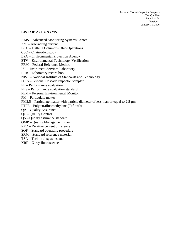#### **LIST OF ACRONYMS**

AMS – Advanced Monitoring Systems Center

- A/C Alternating current
- BCO Battelle Columbus Ohio Operations
- CoC Chain-of-custody
- EPA Environmental Protection Agency
- ETV Environmental Technology Verification
- FRM Federal Reference Method
- ISL Instrument Services Laboratory
- LRB Laboratory record book
- NIST National Institute of Standards and Technology
- PCIS Personal Cascade Impactor Sampler
- PE Performance evaluation
- PES Performance evaluation standard
- PEM Personal Environmental Monitor
- PM Particulate matter
- PM2.5 Particulate matter with particle diameter of less than or equal to 2.5  $\mu$ m
- PTFE Polytetrafluoroethylene (Teflon®)
- QA Quality Assurance
- QC Quality Control
- QS Quality assurance standard
- QMP Quality Management Plan
- RPD Relative percent difference
- SOP Standard operating procedure
- SRM Standard reference material
- TSA Technical systems audit
- XRF X-ray fluorescence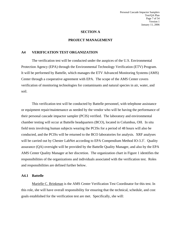#### **SECTION A**

#### **PROJECT MANAGEMENT**

#### **A4 VERIFICATION TEST ORGANIZATION**

The verification test will be conducted under the auspices of the U.S. Environmental Protection Agency (EPA) through the Environmental Technology Verification (ETV) Program. It will be performed by Battelle, which manages the ETV Advanced Monitoring Systems (AMS) Center through a cooperative agreement with EPA. The scope of the AMS Center covers verification of monitoring technologies for contaminants and natural species in air, water, and soil.

This verification test will be conducted by Battelle personnel, with telephone assistance or equipment repair/maintenance as needed by the vendor who will be having the performance of their personal cascade impactor sampler (PCIS) verified. The laboratory and environmental chamber testing will occur at Battelle headquarters (BCO), located in Columbus, OH. In situ field tests involving human subjects wearing the PCISs for a period of 48 hours will also be conducted, and the PCISs will be returned to the BCO laboratories for analysis. XRF analyses will be carried out by Chester LabNet according to EPA Compendium Method IO-3.3<sup>1</sup>. Quality assurance (QA) oversight will be provided by the Battelle Quality Manager, and also by the EPA AMS Center Quality Manager at her discretion. The organization chart in Figure 1 identifies the responsibilities of the organizations and individuals associated with the verification test. Roles and responsibilities are defined further below.

#### **A4.1 Battelle**

Marielle C. Brinkman is the AMS Center Verification Test Coordinator for this test. In this role, she will have overall responsibility for ensuring that the technical, schedule, and cost goals established for the verification test are met. Specifically, she will: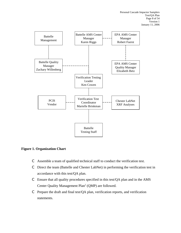

# **Figure 1. Organization Chart**

- C Assemble a team of qualified technical staff to conduct the verification test.
- C Direct the team (Battelle and Chester LabNet) in performing the verification test in accordance with this test/QA plan.
- C Ensure that all quality procedures specified in this test/QA plan and in the AMS Center Quality Management  $Plan<sup>2</sup> (QMP)$  are followed.
- C Prepare the draft and final test/QA plan, verification reports, and verification statements.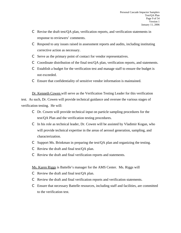- C Revise the draft test/QA plan, verification reports, and verification statements in response to reviewers' comments.
- C Respond to any issues raised in assessment reports and audits, including instituting corrective action as necessary.
- C Serve as the primary point of contact for vendor representatives.
- C Coordinate distribution of the final test/QA plan, verification reports, and statements.
- $\mathbb C$  Establish a budget for the verification test and manage staff to ensure the budget is not exceeded.
- C Ensure that confidentiality of sensitive vendor information is maintained.

Dr. Kenneth Cowen will serve as the Verification Testing Leader for this verification test. As such, Dr. Cowen will provide technical guidance and oversee the various stages of verification testing. He will:

- C Dr. Cowen will provide technical input on particle sampling procedures for the test/QA Plan and the verification testing procedures.
- $\mathbb C$  In his role as technical leader, Dr. Cowen will be assisted by Vladimir Kogan, who will provide technical expertise in the areas of aerosol generation, sampling, and characterization.
- C Support Ms. Brinkman in preparing the test/QA plan and organizing the testing.
- C Review the draft and final test/QA plan.
- C Review the draft and final verification reports and statements.

# Ms. Karen Riggs is Battelle's manager for the AMS Center. Ms. Riggs will

- C Review the draft and final test/QA plan.
- C Review the draft and final verification reports and verification statements.
- C Ensure that necessary Battelle resources, including staff and facilities, are committed to the verification test.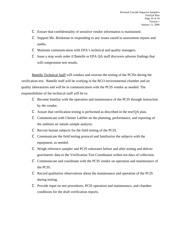- C Ensure that confidentiality of sensitive vendor information is maintained.
- C Support Ms. Brinkman in responding to any issues raised in assessment reports and audits.
- C Maintain communication with EPA's technical and quality managers.
- C Issue a stop work order if Battelle or EPA QA staff discovers adverse findings that will compromise test results.

Battelle Technical Staff will conduct and oversee the testing of the PCISs during the verification test. Battelle staff will be working in the BCO environmental chamber and air quality laboratories and will be in communication with the PCIS vendor as needed. The responsibilities of the technical staff will be to:

- C Become familiar with the operation and maintenance of the PCIS through instruction by the vendor.
- C Assure that verification testing is performed as described in the test/QA plan.
- C Communicate with Chester LabNet on the planning, performance, and reporting of the ambient air metals sample analysis.
- C Recruit human subjects for the field testing of the PCIS.
- C Communicate the field testing protocol and familiarize the subjects with the equipment, as needed.
- C Weigh reference sampler and PCIS substrates before and after testing and deliver gravimetric data to the Verification Test Coordinator within ten days of collection.
- C Communicate and coordinate with the PCIS vendor on operation and maintenance of the PCIS.
- C Record qualitative observations about the maintenance and operation of the PCIS during testing.
- C Provide input on test procedures, PCIS operation and maintenance, and chamber conditions for the draft verification reports.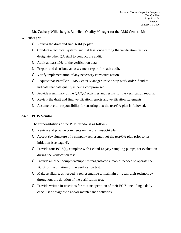Mr. Zachary Willenberg is Battelle's Quality Manager for the AMS Center. Mr. Willenberg will:

- C Review the draft and final test/QA plan.
- $\mathbb C$  Conduct a technical systems audit at least once during the verification test, or designate other QA staff to conduct the audit.
- C Audit at least 10% of the verification data.
- C Prepare and distribute an assessment report for each audit.
- C Verify implementation of any necessary corrective action.
- C Request that Battelle's AMS Center Manager issue a stop work order if audits indicate that data quality is being compromised.
- C Provide a summary of the QA/QC activities and results for the verification reports.
- C Review the draft and final verification reports and verification statements.
- C Assume overall responsibility for ensuring that the test/QA plan is followed.

# **A4.2 PCIS Vendor**

The responsibilities of the PCIS vendor is as follows:

- C Review and provide comments on the draft test/QA plan.
- C Accept (by signature of a company representative) the test/ $OA$  plan prior to test initiation (see page 4).
- C Provide four PCIS(s), complete with Leland Legacy sampling pumps, for evaluation during the verification test.
- C Provide all other equipment/supplies/reagents/consumables needed to operate their PCIS for the duration of the verification test.
- C Make available, as needed, a representative to maintain or repair their technology throughout the duration of the verification test.
- C Provide written instructions for routine operation of their PCIS, including a daily checklist of diagnostic and/or maintenance activities.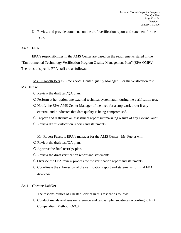C Review and provide comments on the draft verification report and statement for the PCIS.

# **A4.3 EPA**

EPA's responsibilities in the AMS Center are based on the requirements stated in the "Environmental Technology Verification Program Quality Management Plan" (EPA QMP).<sup>3</sup> The roles of specific EPA staff are as follows:

Ms. Elizabeth Betz is EPA's AMS Center Quality Manager. For the verification test, Ms. Betz will:

- C Review the draft test/QA plan.
- C Perform at her option one external technical system audit during the verification test.
- C Notify the EPA AMS Center Manager of the need for a stop work order if any external audit indicates that data quality is being compromised.
- C Prepare and distribute an assessment report summarizing results of any external audit.
- C Review draft verification reports and statements.

Mr. Robert Fuerst is EPA's manager for the AMS Center. Mr. Fuerst will:

- C Review the draft test/QA plan.
- C Approve the final test/QA plan.
- C Review the draft verification report and statements.
- C Oversee the EPA review process for the verification report and statements.
- C Coordinate the submission of the verification report and statements for final EPA approval.

#### **A4.4 Chester LabNet**

The responsibilities of Chester LabNet in this test are as follows:

C Conduct metals analyses on reference and test sampler substrates according to EPA Compendium Method IO-3.3.<sup>1</sup>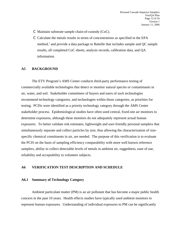- C Maintain substrate sample chain-of-custody (CoC).
- C Calculate the metals results in terms of concentrations as specified in the EPA method,<sup>1</sup> and provide a data package to Battelle that includes sample and QC sample results, all completed CoC sheets, analysis records, calibration data, and QA information.

#### **A5 BACKGROUND**

The ETV Program's AMS Center conducts third-party performance testing of commercially available technologies that detect or monitor natural species or contaminants in air, water, and soil. Stakeholder committees of buyers and users of such technologies recommend technology categories, and technologies within those categories, as priorities for testing. PCISs were identified as a priority technology category through the AMS Center stakeholder process. Epidemiological studies have often used central, fixed-site air monitors to determine exposures, although these monitors do not adequately represent actual human exposures. To better validate risk estimates, lightweight and user-friendly personal samplers that simultaneously separate and collect particles by size, thus allowing the characterization of sizespecific chemical constituents in air, are needed. The purpose of this verification is to evaluate the PCIS on the basis of sampling efficiency comparability with more well known reference samplers, ability to collect detectable levels of metals in ambient air, ruggedness, ease of use, reliability and acceptability to volunteer subjects.

#### **A6 VERIFICATION TEST DESCRIPTION AND SCHEDULE**

#### **A6.1 Summary of Technology Category**

Ambient particulate matter (PM) is an air pollutant that has become a major public health concern in the past 10 years. Health effects studies have typically used ambient monitors to represent human exposures. Understanding of individual exposures to PM can be significantly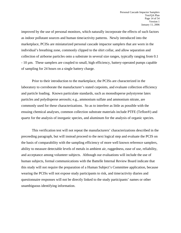improved by the use of personal monitors, which naturally incorporate the effects of such factors as indoor pollutant sources and human time/activity patterns. Newly introduced into the marketplace, PCISs are miniaturized personal cascade impactor samplers that are worn in the individual's breathing zone, commonly clipped to the shirt collar, and allow separation and collection of airborne particles onto a substrate in several size ranges, typically ranging from 0.1 - 10 µm. These samplers are coupled to small, high efficiency, battery-operated pumps capable of sampling for 24 hours on a single battery charge.

Prior to their introduction to the marketplace, the PCISs are characterized in the laboratory to corroborate the manufacturer's stated cutpoints, and evaluate collection efficiency and particle loading. Known particulate standards, such as monodisperse polystyrene latex particles and polydisperse aerosols; e.g., ammonium sulfate and ammonium nitrate, are commonly used for these characterizations. So as to interfere as little as possible with the ensuing chemical analyses, common collection substrate materials include PTFE (Teflon®) and quartz for the analysis of inorganic species, and aluminum for the analysis of organic species.

This verification test will not repeat the manufacturers' characterizations described in the preceeding paragraph, but will instead proceed to the next logical step and evaluate the PCIS on the basis of comparability with the sampling efficiency of more well known reference samplers, ability to measure detectable levels of metals in ambient air, ruggedness, ease of use, reliability, and acceptance among volunteer subjects. Although our evaluations will include the use of human subjects, formal communications with the Battelle Internal Review Board indicate that this study will not require the preparation of a Human Subject's Committee application, because wearing the PCISs will not expose study participants to risk, and time/activity diaries and questionnaire responses will not be directly linked to the study participants' names or other unambiguous identifying information.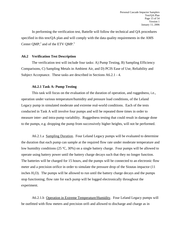In performing the verification test, Battelle will follow the technical and QA procedures specified in this test/QA plan and will comply with the data quality requirements in the AMS Center QMP, $^2$  and of the ETV QMP. $^3$ 

#### **A6.2 Verification Test Description**

The verification test will include four tasks: A) Pump Testing, B) Sampling Efficiency Comparisons, C) Sampling Metals in Ambient Air, and D) PCIS Ease of Use, Reliability and Subject Acceptance. These tasks are described in Sections A6.2.1 - 4.

#### **A6.2.1 Task A: Pump Testing**

This task will focus on the evaluation of the duration of operation, and ruggedness, i.e., operation under various temperature/humidity and pressure load conditions, of the Leland Legacy pump in simulated moderate and extreme real-world conditions. Each of the tests conducted in Task A will involve four pumps and will be repeated three times in order to measure inter- and intra-pump variability. Ruggedness testing that could result in damage done to the pumps, e.g. dropping the pump from successively higher heights, will not be performed.

A6.2.1.a Sampling Duration. Four Leland Legacy pumps will be evaluated to determine the duration that each pump can sample at the required flow rate under moderate temperature and low humidity conditions (25 ºC, 30%) on a single battery charge. Four pumps will be allowed to operate using battery power until the battery charge decays such that they no longer function. The batteries will be charged for 15 hours, and the pumps will be connected to an electronic flow meter and a precision orifice in order to simulate the pressure drop of the Sioutas impactor (11 inches  $H<sub>2</sub>O$ . The pumps will be allowed to run until the battery charge decays and the pumps stop functioning; flow rate for each pump will be logged electronically throughout the experiment.

A6.2.1.b Operation in Extreme Temperature/Humidity. Four Leland Legacy pumps will be outfitted with flow meters and precision orifi and allowed to discharge and charge as in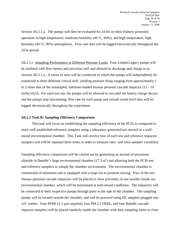Section A6.2.1.a. The pumps will then be evaluated for 24 hrs on their (battery powered) operation in high temperature, moderate humidity (40 ºC, 60%), and high temperature, high humidity (40 °C, 90%) atmospheres. Flow rate data will be logged electronically throughout the 24 hr period.

A6.2.1.c Sampling Performance at Different Pressure Loads. Four Leland Legacy pumps will be outfitted with flow meters and precision orifi and allowed to discharge and charge as in Section A6.2.1.a. A series of tests will be conducted in which the pumps will independently be connected to three different critical orifi, yielding pressure drops ranging from approximately 1 to 2 times that of the unsampled, substrate-loaded Sioutas personal cascade impactor (11 - 19 inches  $H_2O$ . For each test run, the pumps will be allowed to run until the battery charge decays and the pumps stop functioning; flow rate for each pump and overall sound level data will be logged electronically throughout the experiment.

#### **A6.2.2 Task B: Sampling Efficiency Comparison**

This task will focus on establishing the sampling efficiency of the PCIS as compared to more well-established reference samplers using a laboratory generated test aerosol in a wellmixed environmental chamber. This Task will involve four of each test and reference impactor samplers and will be repeated three times in order to measure inter- and intra-sampler variability.

Sampling efficiency comparison will be carried out by generating an aerosol of potassium chloride in Battelle's large environmental chamber  $(17.3 \text{ m}^3)$  and allowing both the PCIS test and reference samplers to sample the chamber environment. The environmental chamber is constructed of aluminum and is equipped with a large fan to promote mixing. Four of the test Sioutas personal cascade impactors will be placed in close proximity of one another inside our environmental chamber, which will be maintained at well-mixed conditions. The impactors will be connected to their respective pumps through ports in the side of the chamber. The sampling pumps will be located outside the chamber, and will be powered using DC adapters plugged into A/C outlets. Four PEMs (2.5  $\mu$ m cutpoint), four PM 2.5 FRMs, and four Battelle cascade impactor samplers will be placed similarly inside the chamber with their sampling inlets in close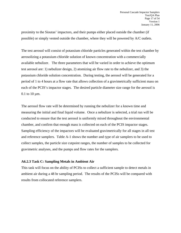proximity to the Sioutas' impactors, and their pumps either placed outside the chamber (if possible) or simply vented outside the chamber, where they will be powered by A/C outlets.

The test aerosol will consist of potassium chloride particles generated within the test chamber by aerosolizing a potassium chloride solution of known concentration with a commercially available nebulizer. The three parameters that will be varied in order to achieve the optimum test aerosol are: 1) nebulizer design, 2) atomizing air flow rate to the nebulizer, and 3) the potassium chloride solution concentration. During testing, the aerosol will be generated for a period of 1 to 4 hours at a flow rate that allows collection of a gravimetrically sufficient mass on each of the PCIS's impactor stages. The desired particle diameter size range for the aerosol is 0.1 to 10  $\mu$ m.

The aerosol flow rate will be determined by running the nebulizer for a known time and measuring the initial and final liquid volume. Once a nebulizer is selected, a trial run will be conducted to ensure that the test aerosol is uniformly mixed throughout the environmental chamber, and confirm that enough mass is collected on each of the PCIS impactor stages. Sampling efficiency of the impactors will be evaluated gravimetrically for all stages in all test and reference samplers. Table A-1 shows the number and type of air samplers to be used to collect samples, the particle size cutpoint ranges, the number of samples to be collected for gravimetric analyses, and the pumps and flow rates for the samplers.

#### **A6.2.3 Task C: Sampling Metals in Ambient Air**

This task will focus on the ability of PCISs to collect a sufficient sample to detect metals in ambient air during a 48 hr sampling period. The results of the PCISs will be compared with results from collocated reference samplers.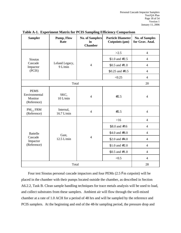| <b>Sampler</b>                                                                    | Pump, Flow<br>Rate        | <b>No. of Samplers</b><br>in<br><b>Chamber</b> | <b>Particle Diameter</b><br>Cutpoints $(\mu m)$ | <b>No. of Samples</b><br>for Grav. Anal. |
|-----------------------------------------------------------------------------------|---------------------------|------------------------------------------------|-------------------------------------------------|------------------------------------------|
|                                                                                   |                           |                                                | >2.5                                            | $\overline{4}$                           |
| <b>Sioutas</b>                                                                    |                           |                                                | $$1.0$ and #2.5                                 | $\overline{4}$                           |
| Cascade<br>Impactor                                                               | Leland Legacy,<br>9 L/min | $\overline{4}$<br>$$0.5$ and $#1.0$            |                                                 | $\overline{4}$                           |
| (PCIS)                                                                            |                           |                                                | $$0.25$ and $#0.5$                              |                                          |
|                                                                                   |                           |                                                | < 0.25                                          | $\overline{4}$                           |
|                                                                                   | Total                     |                                                |                                                 | 20                                       |
| <b>PEMS</b><br>Environmental<br>Monitor<br>(Reference)                            | SKC,<br>$10$ L/min        | $\overline{4}$                                 | #2.5                                            | $\overline{4}$                           |
| PM <sub>2.5</sub> FRM<br>Internal,<br>$\overline{4}$<br>16.7 L/min<br>(Reference) |                           | #2.5                                           | $\overline{4}$                                  |                                          |
|                                                                                   |                           |                                                | $>16$                                           | $\overline{4}$                           |
|                                                                                   |                           |                                                | $$8.0$ and #16                                  | $\overline{4}$                           |
| <b>Battelle</b>                                                                   | Gast,<br>$12.5$ L/min     |                                                | \$4.0 and $#8.0$                                | $\overline{4}$                           |
| Cascade<br>Impactor                                                               |                           | $\overline{4}$                                 | \$2.0 and $#4.0$                                | $\overline{4}$                           |
| (Reference)                                                                       |                           |                                                | $$1.0$ and #2.0                                 | $\overline{4}$                           |
|                                                                                   |                           |                                                | $$0.5$ and $#1.0$                               |                                          |
|                                                                                   |                           |                                                | < 0.5                                           | $\overline{4}$                           |
| Total                                                                             |                           |                                                |                                                 | 28                                       |

#### **Table A-1. Experiment Matrix for PCIS Sampling Efficiency Comparison**

Four test Sioutas personal cascade impactors and four PEMs (2.5 Fm cutpoint) will be placed in the chamber with their pumps located outside the chamber, as described in Section A6.2.2, Task B. Clean sample handling techniques for trace metals analysis will be used to load, and collect substrates from these samplers. Ambient air will flow through the well-mixed chamber at a rate of 1.0 ACH for a period of 48 hrs and will be sampled by the reference and PCIS samplers. At the beginning and end of the 48-hr sampling period, the pressure drop and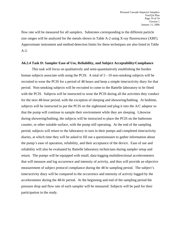flow rate will be measured for all samplers. Substrates corresponding to the different particle size ranges will be analyzed for the metals shown in Table A-2 using X-ray fluorescence (XRF). Approximate instrument and method detection limits for these techniques are also listed in Table A-2.

#### **A6.2.4 Task D: Sampler Ease of Use, Reliability, and Subject Acceptability/Compliance**

This task will focus on qualitatively and semi-quantitatively establishing the burden human subjects associate with using the PCIS. A total of 5 - 10 non-smoking subjects will be recruited to wear the PCIS for a period of 48 hours and keep a simple time/activity diary for that period. Non-smoking subjects will be recruited to come to the Battelle laboratory to be fitted with the PCIS. Subjects will be instructed to wear the PCIS during all the activities they conduct for the next 48-hour period, with the exception of sleeping and showering/bathing. At bedtime, subjects will be instructed to put the PCIS on the nightstand and plug it into the A/C adaptor so that the pump will continue to sample their environment while they are sleeping. Likewise during showering/bathing, the subjects will be instructed to place the PCIS on the bathroom counter, or other suitable surface, with the pump still operating. At the end of the sampling period, subjects will return to the laboratory to turn in their pumps and completed time/activity diaries, at which time they will be asked to fill out a questionnaire to gather information about the pump's ease of operation, reliability, and their acceptance of the device. Ease of use and reliability will also be evaluated by Battelle laboratory technicians during sampler setup and return. The pumps will be equipped with small, data-logging multidirectional accelerometers that will measure and log occurrence and intensity of activity, and thus will provide an objective measurement of subject protocol compliance during the 48 hr sampling period. The subject's time/activity diary will be compared to the occurrence and intensity of activity logged by the accelerometer during the 48-hr period. At the beginning and end of the sampling period the pressure drop and flow rate of each sampler will be measured. Subjects will be paid for their participation in the study.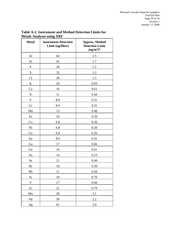| <b>Metal</b> | <b>Instrument Detection</b><br>Limit (ng/filter) | <b>Approx. Method</b><br><b>Detection Limit</b><br>$(ng/m^3)^*$ |
|--------------|--------------------------------------------------|-----------------------------------------------------------------|
| Al           | 64                                               | 2.5                                                             |
| Si           | 45                                               | 1.7                                                             |
| ${\bf P}$    | 39                                               | 1.5                                                             |
| ${\bf S}$    | 32                                               | 1.2                                                             |
| Cl           | 39                                               | 1.5                                                             |
| ${\bf K}$    | 24                                               | 0.93                                                            |
| Ca           | 16                                               | 0.61                                                            |
| Ti           | 11                                               | 0.44                                                            |
| $\mathbf V$  | 8.0                                              | 0.31                                                            |
| Cr           | 8.0                                              | 0.31                                                            |
| Mn           | 13                                               | 0.48                                                            |
| Fe           | 10                                               | 0.39                                                            |
| Co           | 6.8                                              | 0.26                                                            |
| Ni           | 6.8                                              | 0.26                                                            |
| Cu           | 6.8                                              | 0.26                                                            |
| Zn           | 8.0                                              | 0.31                                                            |
| Ga           | 17                                               | 0.66                                                            |
| Ge           | 16                                               | 0.61                                                            |
| As           | 14                                               | 0.53                                                            |
| Se           | 11                                               | 0.44                                                            |
| <b>Br</b>    | 10                                               | 0.39                                                            |
| Rb           | 11                                               | 0.44                                                            |
| <b>Sr</b>    | $18\,$                                           | 0.70                                                            |
| $\mathbf Y$  | $17\,$                                           | 0.66                                                            |
| Zr           | 21                                               | 0.79                                                            |
| Mo           | 28                                               | 1.1                                                             |
| Pd           | 58                                               | $2.2\,$                                                         |
| Ag           | 61                                               | 2.4                                                             |

# **Table A-2. Instrument and Method Detection Limits for Metals Analyses using XRF**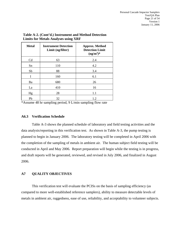| <b>Metal</b> | <b>Instrument Detection</b><br>Limit (ng/filter) | <b>Approx. Method</b><br><b>Detection Limit</b><br>$(ng/m^3)*$ |
|--------------|--------------------------------------------------|----------------------------------------------------------------|
| Cd           | 63                                               | 2.4                                                            |
| Sn           | 110                                              | 4.2                                                            |
| Sb           | 88                                               | 3.4                                                            |
| I            | 160                                              | 6.1                                                            |
| Ba           | 680                                              | 26                                                             |
| La           | 410                                              | 16                                                             |
| Hg           | 28                                               | 1.1                                                            |
| Pb           | 32                                               | 1.2                                                            |

# **Table A-2. (Cont'd.) Instrument and Method Detection Limits for Metals Analyses using XRF**

\*Assume 48 hr sampling period, 9 L/min sampling flow rate

#### **A6.3 Verification Schedule**

Table A-3 shows the planned schedule of laboratory and field testing activities and the data analysis/reporting in this verification test. As shown in Table A-3, the pump testing is planned to begin in January 2006. The laboratory testing will be completed in April 2006 with the completion of the sampling of metals in ambient air. The human subject field testing will be conducted in April and May 2006. Report preparation will begin while the testing is in progress, and draft reports will be generated, reviewed, and revised in July 2006, and finalized in August 2006.

#### **A7 QUALITY OBJECTIVES**

This verification test will evaluate the PCISs on the basis of sampling efficiency (as compared to more well-established reference samplers), ability to measure detectable levels of metals in ambient air, ruggedness, ease of use, reliability, and acceptability to volunteer subjects.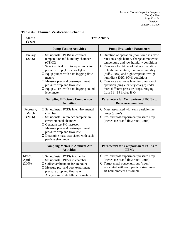| <b>Month</b><br>(Year)       | <b>Test Activity</b>                                                                                                                                                                                                                                                                                                                               |                                                                                                                                                                                                                                                                                                                                                                                                                                                                                 |  |  |
|------------------------------|----------------------------------------------------------------------------------------------------------------------------------------------------------------------------------------------------------------------------------------------------------------------------------------------------------------------------------------------------|---------------------------------------------------------------------------------------------------------------------------------------------------------------------------------------------------------------------------------------------------------------------------------------------------------------------------------------------------------------------------------------------------------------------------------------------------------------------------------|--|--|
|                              | <b>Pump Testing Activities</b>                                                                                                                                                                                                                                                                                                                     | <b>Pump Evaluation Parameters</b>                                                                                                                                                                                                                                                                                                                                                                                                                                               |  |  |
| January<br>(2006)            | C Set up/install PCISs in constant<br>temperature and humidity chamber<br>(CTHC)<br>C Select critical orifi to equal impactor<br>pressure drop $(11$ inches $H_2O$ )<br>C Equip pumps with data logging flow<br>meters<br>C Measure pre- and post-experiment<br>pressure drop and flow rate<br>C Equip CTHC with data logging sound<br>level meter | C Duration of operation (monitored via flow<br>rate) on single battery charge at moderate<br>temperature and low humidity conditions<br>C Flow rate for 24 hrs of battery operation<br>in high temperature, moderate humidity<br>(40EC, 60%) and high temperature/high<br>humidity (40EC, 90%) conditions<br>C Flow rate and noise level for duration of<br>operation (single battery charge) under<br>three different pressure drops, ranging<br>from $11 - 19$ inches $H2O$ . |  |  |
|                              | <b>Sampling Efficiency Comparison</b><br><b>Activities</b>                                                                                                                                                                                                                                                                                         | <b>Parameters for Comparison of PCISs to</b><br><b>Reference Samplers</b>                                                                                                                                                                                                                                                                                                                                                                                                       |  |  |
| February,<br>March<br>(2006) | C Set up/install PCISs in environmental<br>chamber<br>C Set up/install reference samplers in<br>environmental chamber<br>C Generate test KCl aerosol<br>C Measure pre- and post-experiment<br>pressure drop and flow rate<br>C Determine mass associated with each<br>particle size range                                                          | C Mass associated with each particle size<br>range $(\mu g/m^3)$<br>C Pre- and post-experiment pressure drop<br>(inches $H_2O$ ) and flow rate (L/min)                                                                                                                                                                                                                                                                                                                          |  |  |
|                              | <b>Sampling Metals in Ambient Air</b><br><b>Activities</b>                                                                                                                                                                                                                                                                                         | <b>Parameters for Comparison of PCISs to</b><br><b>PEMs</b>                                                                                                                                                                                                                                                                                                                                                                                                                     |  |  |
| March,<br>April<br>(2006)    | $\mathcal C$ Set up/install PCISs in chamber<br>C Set up/install PEMs in chamber<br>C Collect ambient air for 48 hours<br>C Measure pre- and post-experiment<br>pressure drop and flow rate<br>C Analyze substrate filters for metals                                                                                                              | C Pre- and post-experiment pressure drop<br>(inches $H_2O$ ) and flow rate (L/min)<br>$\degree$ Target metal concentrations (ng/m <sup>3</sup> )<br>associated with each particle size range in<br>48-hour ambient air sample                                                                                                                                                                                                                                                   |  |  |

# **Table A-3. Planned Verification Schedule**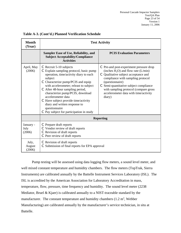| <b>Month</b><br>(Year)      | <b>Test Activity</b>                                                                                                                                                                                                                                                                                                                                                                                                                                   |                                                                                                                                                                                                                                                                                                                                   |  |  |
|-----------------------------|--------------------------------------------------------------------------------------------------------------------------------------------------------------------------------------------------------------------------------------------------------------------------------------------------------------------------------------------------------------------------------------------------------------------------------------------------------|-----------------------------------------------------------------------------------------------------------------------------------------------------------------------------------------------------------------------------------------------------------------------------------------------------------------------------------|--|--|
|                             | <b>Sampler Ease of Use, Reliability, and</b><br><b>Subject Acceptability/Compliance</b><br><b>Activities</b>                                                                                                                                                                                                                                                                                                                                           | <b>PCIS Evaluation Parameters</b>                                                                                                                                                                                                                                                                                                 |  |  |
| April, May<br>(2006)        | C Recruit 5-10 subjects<br>C Explain sampling protocol, basic pump<br>operation, time/activity diary to each<br>subject<br>C Characterize pump/PCIS and equip<br>with accelerometer; releast to subject<br>C After 48-hour sampling period,<br>characterize pump/PCIS, download<br>accelerometer data<br>$\mathcal C$ Have subject provide time/activity<br>diary and written response to<br>questionnaire<br>C Pay subject for participation in study | $\mathbb C$ Pre-and post-experiment pressure drop<br>(inches $H_2O$ ) and flow rate (L/min)<br>C Qualitative subject acceptance and<br>compliance with sampling protocol<br>(questionnaire)<br>C Semi-quantitative subject compliance<br>with sampling protocol (compare gross<br>accelerometer data with time/activity<br>diary) |  |  |
|                             |                                                                                                                                                                                                                                                                                                                                                                                                                                                        | <b>Reporting</b>                                                                                                                                                                                                                                                                                                                  |  |  |
| January -<br>July<br>(2006) | C Prepare draft reports<br>C Vendor review of draft reports<br>Revision of draft reports<br>C Peer review of draft reports                                                                                                                                                                                                                                                                                                                             |                                                                                                                                                                                                                                                                                                                                   |  |  |
| July,<br>August<br>(2006)   | C Revision of draft reports<br>Submission of final reports for EPA approval                                                                                                                                                                                                                                                                                                                                                                            |                                                                                                                                                                                                                                                                                                                                   |  |  |

**Table A-3. (Cont'd.) Planned Verification Schedule** 

Pump testing will be assessed using data logging flow meters, a sound level meter, and well mixed constant temperature and humidity chambers. The flow meters (TopTrak, Sierra Instruments) are calibrated annually by the Battelle Instrument Services Laboratory (ISL). The ISL is accredited by the American Association for Laboratory Accreditation in mass, temperature, flow, pressure, time frequency and humidity. The sound level meter (2238 Mediator, Bruel & Kjaer) is calibrated annually to a NIST-traceable standard by the manufacturer. The constant temperature and humidity chambers  $(1.2 \text{ m}^3)$ , Webber Manufacturing) are calibrated annually by the manufacturer's service technician, in situ at Battelle.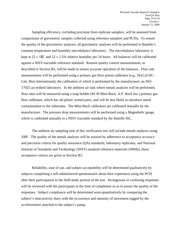Sampling efficiency, including precision from replicate samplers, will be assessed from comparisons of gravimetric samples collected using reference samplers and PCISs. To ensure the quality of the gravimetric analyses, all gravimetric analyses will be performed in Battelle's constant temperature and humidity microbalance laboratory. The microbalance laboratory is kept at  $22 \pm 1\text{EC}$  and  $52 \pm 2.5\%$  relative humidity per 24 hours. All balances will be calibrated against a NIST-traceable reference standard. Routine quality control measurements, as described in Section B5, will be made to ensure accurate operation of the balances. Flow rate measurements will be performed using a primary gas flow piston calibrator (e.g., DryCal DC-Lite, Bios International), the calibration of which is performed by the manufacturer, an ISO-17025 accredited laboratory. In the ambient air task where metals analyses will be performed, flow rates will be measured using a soap bubble (M-30 Mini-Buck, A.P. Buck Inc.) primary gas flow calibrator, which has all-plastic wetted parts, and will be less likely to introduce metal contamination to the substrates. The Mini-Buck calibrators are calibrated annually by the manufacturer. The pressure drop measurements will be performed using a Magnehelic gauge, which is calibrated annually to a NIST-traceable standard by the Battelle ISL.

The ambient air sampling task of this verification test will include metals analyses using XRF. The quality of the metals analyses will be assured by adherence to acceptance accuracy and precision criteria for quality assurance (QA) standards, laboratory replicates, and National Institute of Standards and Technology (NIST) standard reference materials (SRMs); these acceptance criteria are given in Section B5.

Reliability, ease of use, and subject acceptability will be determined qualitatively by subjects completing a self-administered questionnaire about their experience using the PCIS after their participation in the field study portion of the test. Incongruous or confusing responses will be reviewed with the participants at the time of completion so as to assure the quality of the responses. Subject compliance will be determined semi-quantitatively by comparing the subject's time/activity diary with the occurrence and intensity of movement logged by the accelerometer attached to the subject's pump.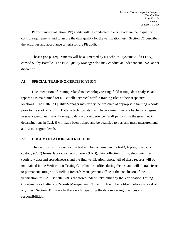Performance evaluation (PE) audits will be conducted to ensure adherence to quality control requirements and to assure the data quality for the verification test. Section C1 describes the activities and acceptance criteria for the PE audit.

These QA/QC requirements will be augmented by a Technical Systems Audit (TSA), carried out by Battelle. The EPA Quality Manager also may conduct an independent TSA, at her discretion.

#### **A8 SPECIAL TRAINING/CERTIFICATION**

Documentation of training related to technology testing, field testing, data analysis, and reporting is maintained for all Battelle technical staff in training files at their respective locations. The Battelle Quality Manager may verify the presence of appropriate training records prior to the start of testing. Battelle technical staff will have a minimum of a bachelor's degree in science/engineering or have equivalent work experience. Staff performing the gravimetric determinations in Task B will have been trained and be qualified to perform mass measurements at low microgram levels.

#### **A9 DOCUMENTATION AND RECORDS**

The records for this verification test will be contained in the test/QA plan, chain-ofcustody (CoC) forms, laboratory record books (LRB), data collection forms, electronic files (both raw data and spreadsheets), and the final verification report. All of these records will be maintained in the Verification Testing Coordinator's office during the test and will be transferred to permanent storage at Battelle's Records Management Office at the conclusion of the verification test. All Battelle LRBs are stored indefinitely, either by the Verification Testing Coordinator or Battelle's Records Management Office. EPA will be notified before disposal of any files. Section B10 gives further details regarding the data recording practices and responsibilities.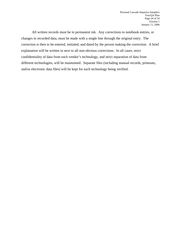All written records must be in permanent ink. Any corrections to notebook entries, or changes in recorded data, must be made with a single line through the original entry. The correction is then to be entered, initialed, and dated by the person making the correction. A brief explanation will be written in next to all non-obvious corrections. In all cases, strict confidentiality of data from each vendor's technology, and strict separation of data from different technologies, will be maintained. Separate files (including manual records, printouts, and/or electronic data files) will be kept for each technology being verified.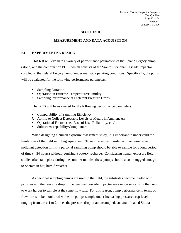### **SECTION B**

#### **MEASUREMENT AND DATA ACQUISITION**

#### **B1 EXPERIMENTAL DESIGN**

This test will evaluate a variety of performance parameters of the Leland Legacy pump (alone) and the combination PCIS, which consists of the Sioutas Personal Cascade Impactor coupled to the Leland Legacy pump, under realistic operating conditions. Specifically, the pump will be evaluated for the following performance parameters:

- Sampling Duration
- Operation in Extreme Temperature/Humidity
- Sampling Performance at Different Pressure Drops

The PCIS will be evaluated for the following performance parameters:

- Comparability of Sampling Efficiency
- C Ability to Collect Detectable Levels of Metals in Ambient Air
- Operational Factors (i.e., Ease of Use, Reliability, etc.)
- Subject Acceptability/Compliance

When designing a human exposure assessment study, it is important to understand the limitations of the field sampling equipment. To reduce subject burden and increase target pollutant detection limits, a personal sampling pump should be able to sample for a long period of time (> 24 hours) without requiring a battery recharge. Considering human exposure field studies often take place during the summer months, these pumps should also be rugged enough to operate in hot, humid weather.

As personal sampling pumps are used in the field, the substrates become loaded with particles and the pressure drop of the personal cascade impactor may increase, causing the pump to work harder to sample at the same flow rate. For this reason, pump performance in terms of flow rate will be monitored while the pumps sample under increasing pressure drop levels ranging from circa 1 to 2 times the pressure drop of an unsampled, substrate-loaded Sioutas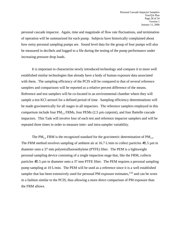personal cascade impactor. Again, time and magnitude of flow rate fluctuations, and termination of operation will be summarized for each pump. Subjects have historically complained about how noisy personal sampling pumps are. Sound level data for the group of four pumps will also be measured in decibels and logged to a file during the testing of the pump performance under increasing pressure drop loads.

It is important to characterize newly introduced technology and compare it to more well established similar technologies that already have a body of human exposure data associated with them. The sampling efficiency of the PCIS will be compared to that of several reference samplers and comparisons will be reported as a relative percent difference of the means. Reference and test samplers will be co-located in an environmental chamber where they will sample a test KCl aerosol for a defined period of time. Sampling efficiency determinations will be made gravimetrically for all stages in all impactors. The reference samplers employed in this comparison include four  $PM_2$ , FRMs, four PEMs (2.5  $\mu$ m cutpoint), and four Battelle cascade impactors. This Task will involve four of each test and reference impactor samplers and will be repeated three times in order to measure inter- and intra-sampler variability.

The PM<sub>2.5</sub> FRM is the recognized standard for the gravimetric determination of PM<sub>2.5</sub>. The FRM method involves sampling of ambient air at 16.7 L/min to collect particles  $\#2.5 \,\mu \text{m}$  in diameter onto a 37 mm polytetrafluoroethylene (PTFE) filter. The PEM is a lightweight personal sampling device consisting of a single impaction stage that, like the FRM, collects particles #2.5 µm in diameter onto a 37 mm PTFE filter. The PEM requires a personal sampling pump sampling at 10 L/min. The PEM will be used as a reference since it is a well established sampler that has been extensively used for personal PM exposure estimates, $4-20$  and can be worn in a fashion similar to the PCIS, thus allowing a more direct comparison of PM exposure than the FRM allows.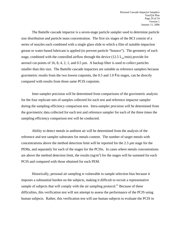The Battelle cascade impactor is a seven-stage particle sampler used to determine particle size distribution and particle mass concentration. The first six stages of the BCI consist of a series of nozzles each combined with a single glass slide to which a film of suitable impaction grease or water-based lubricant is applied (to prevent particle "bounce"). The geometry of each stage, combined with the controlled airflow through the device  $(12.5 L_{air}/min)$  provide for aerosol cut-points of 16, 8, 4, 2, 1, and  $0.5 \mu$ m. A backup filter is used to collect particles smaller than this size. The Battelle cascade impactors are suitable as reference samplers because gravimetric results from the two lowest cutpoints, the 0.5 and 1.0  $\overline{\phantom{a}}$  fm stages, can be directly compared with results from those same PCIS cutpoints.

Inter-sampler precision will be determined from comparisons of the gravimetric analysis for the four replicate sets of samples collected for each test and reference impactor sampler during the sampling efficiency comparison test. Intra-sampler precision will be determined from the gravimetric data collected for each test and reference sampler for each of the three times the sampling efficiency comparison test will be conducted.

Ability to detect metals in ambient air will be determined from the analysis of the reference and test sampler substrates for metals content. The number of target metals with concentrations above the method detection limit will be reported for the  $2.5 \mu m$  stage for the PEMs, and separately for each of the stages for the PCISs. In cases where metals concentrations are above the method detection limit, the results  $(ng/m<sup>3</sup>)$  for the stages will be summed for each PCIS and compared with those obtained for each PEM.

Historically, personal air sampling is vulnerable to sample selection bias because it imposes a substantial burden on the subjects, making it difficult to recruit a representative sample of subjects that will comply with the air sampling protocol.<sup>21</sup> Because of these difficulties, this verification test will not attempt to assess the performance of the PCIS using human subjects. Rather, this verification test will use human subjects to evaluate the PCIS in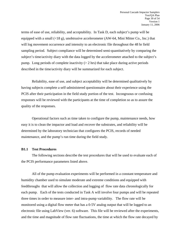terms of ease of use, reliability, and acceptability. In Task D, each subject's pump will be equipped with a small  $(\langle 18 \text{ g} \rangle)$ , unobtrusive accelerometer (AW-64, Mini Mitter Co., Inc.) that will log movement occurrence and intensity to an electronic file throughout the 48 hr field sampling period. Subject compliance will be determined semi-quantitatively by comparing the subject's time/activity diary with the data logged by the accelerometer attached to the subject's pump. Long periods of complete inactivity  $(> 2 \text{ hrs})$  that take place during active periods described in the time/activity diary will be summarized for each subject.

Reliability, ease of use, and subject acceptability will be determined qualitatively by having subjects complete a self-administered questionnaire about their experience using the PCIS after their participation in the field study portion of the test. Incongruous or confusing responses will be reviewed with the participants at the time of completion so as to assure the quality of the responses.

Operational factors such as time taken to configure the pump, maintenance needs, how easy it is to clean the impactor and load and recover the substrates, and reliability will be determined by the laboratory technician that configures the PCIS, records of needed maintenance, and the pump's run time during the field study.

#### **B1.1 Test Procedures**

The following sections describe the test procedures that will be used to evaluate each of the PCIS performance parameters listed above.

All of the pump evaluation experiments will be performed in a constant temperature and humidity chamber used to simulate moderate and extreme conditions and equipped with feedthroughs that will allow the collection and logging of flow rate data chronologically for each pump. Each of the tests conducted in Task A will involve four pumps and will be repeated three times in order to measure inter- and intra-pump variability. The flow rate will be monitored using a digital flow meter that has a 0-5V analog output that will be logged to an electronic file using LabView (ver. 6) software. This file will be reviewed after the experiments, and the time and magnitude of flow rate fluctuations, the time at which the flow rate decayed by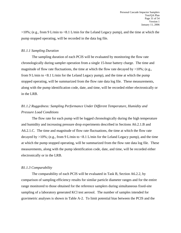>10%; (e.g., from 9 L/min to <8.1 L/min for the Leland Legacy pump), and the time at which the pump stopped operating, will be recorded in the data log file.

#### *B1.1.1 Sampling Duration*

The sampling duration of each PCIS will be evaluated by monitoring the flow rate chronologically during sampler operation from a single 15-hour battery charge. The time and magnitude of flow rate fluctuations, the time at which the flow rate decayed by  $>10\%$ ; (e.g., from 9 L/min to <8.1 L/min for the Leland Legacy pump), and the time at which the pump stopped operating, will be summarized from the flow rate data log file. These measurements, along with the pump identification code, date, and time, will be recorded either electronically or in the LRB.

# *B1.1.2 Ruggedness: Sampling Performance Under Different Temperature, Humidity and Pressure Load Conditions*

The flow rate for each pump will be logged chronologically during the high temperature and humidity and increasing pressure drop experiments described in Sections A6.2.1.B and A6.2.1.C. The time and magnitude of flow rate fluctuations, the time at which the flow rate decayed by >10%; (e.g., from 9 L/min to <8.1 L/min for the Leland Legacy pump), and the time at which the pump stopped operating, will be summarized from the flow rate data log file. These measurements, along with the pump identification code, date, and time, will be recorded either electronically or in the LRB.

#### *B1.1.3 Comparability*

The comparability of each PCIS will be evaluated in Task B, Section A6.2.2, by comparison of sampling efficiency results for similar particle diameter ranges and for the entire range monitored to those obtained for the reference samplers during simultaneous fixed-site sampling of a laboratory generated KCl test aerosol. The number of samples intended for gravimetric analyses is shown in Table A-2. To limit potential bias between the PCIS and the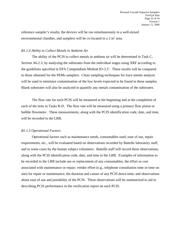reference sampler's results, the devices will be run simultaneously in a well-mixed environmental chamber, and samplers will be co-located in a  $2 \text{ m}^2$  area.

#### *B1.1.4 Ability to Collect Metals in Ambient Air*

The ability of the PCIS to collect metals in ambient air will be determined in Task C, Section A6.2.3, by analyzing the substrates from the individual stages using XRF according to the guidelines specified in EPA Compendium Method IO-3.3<sup>1</sup>. These results will be compared to those obtained for the PEMs samplers. Clean sampling techniques for trace metals analysis will be used to minimize contamination of the low levels expected to be found in these samples. Blank substrates will also be analyzed to quantify any metals contamination of the substrates.

The flow rate for each PCIS will be measured at the beginning and at the completion of each of the tests in Tasks B-D. The flow rate will be measured using a primary flow piston or bubble flowmeter. These measurements, along with the PCIS identification code, date, and time, will be recorded in the LRB.

#### *B1.1.5 Operational Factors*

Operational factors such as maintenance needs, consumables used, ease of use, repair requirements, etc., will be evaluated based on observations recorded by Battelle laboratory staff, and in some cases by the human subject volunteers. Battelle staff will record these observations, along with the PCIS identification code, date, and time in the LRB. Examples of information to be recorded in the LRB include use or replacement of any consumables; the effort or cost associated with maintenance or repair; vendor effort (e.g., telephone consultation time or time on site) for repair or maintenance; the duration and causes of any PCIS down time; and observations about ease of use and portability of the PCIS. These observations will be summarized to aid in describing PCIS performance in the verification report on each PCIS.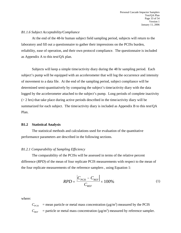#### *B1.1.6 Subject Acceptability/Compliance*

At the end of the 48-hr human subject field sampling period, subjects will return to the laboratory and fill out a questionnaire to gather their impressions on the PCISs burden, reliability, ease of operation, and their own protocol compliance. The questionnaire is included as Appendix A to this test/QA plan.

Subjects will keep a simple time/activity diary during the 48 hr sampling period. Each subject's pump will be equipped with an accelerometer that will log the occurrence and intensity of movement to a data file. At the end of the sampling period, subject compliance will be determined semi-quantitatively by comparing the subject's time/activity diary with the data logged by the accelerometer attached to the subject's pump. Long periods of complete inactivity  $(2 \text{ hrs})$  that take place during active periods described in the time/activity diary will be summarized for each subject. The time/activity diary is included as Appendix B to this test/QA Plan.

#### **B1.2 Statistical Analysis**

The statistical methods and calculations used for evaluation of the quantitative performance parameters are described in the following sections.

#### *B1.2.1 Comparability of Sampling Efficiency*

The comparability of the PCISs will be assessed in terms of the relative percent difference (*RPD*) of the mean of four replicate PCIS measurements with respect to the mean of the four replicate measurements of the reference samplers , using Equation 1:

$$
RPD = \frac{\left|C_{PCIS} - C_{REF}\right|}{C_{REF}} \times 100\%
$$
\n(1)

where:

 $C_{\text{PCIS}}$  = mean particle or metal mass concentration ( $\mu$ g/m<sup>3</sup>) measured by the PCIS  $C_{REF}$  = particle or metal mass concentration ( $\mu$ g/m<sup>3</sup>) measured by reference sampler.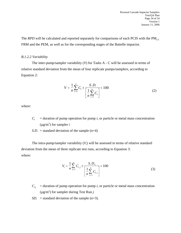The *RPD* will be calculated and reported separately for comparisons of each PCIS with the PM<sub>2.5</sub> FRM and the PEM, as well as for the corresponding stages of the Battelle impactor.

#### *B.1.2.2 Variability*

The inter-pump/sampler variability (*V*) for Tasks A - C will be assessed in terms of relative standard deviation from the mean of four replicate pumps/samplers, according to Equation 2:

$$
V = \frac{1}{n} \sum_{i=1}^{n} C_i \pm \frac{S.D.}{\left[\frac{1}{n} \sum_{i=1}^{n} C_i\right]} \times 100
$$
 (2)

where:

- $C_i$  = duration of pump operation for pump *i*, or particle or metal mass concentration  $(\mu g/m^3)$  for sampler *i*
- *S.D.* = standard deviation of the sample  $(n=4)$

The intra-pump/sampler variability  $(V_i)$  will be assessed in terms of relative standard deviation from the mean of three replicate test runs, according to Equation 3: where:

$$
V_i = \frac{1}{n} \sum_{j=1}^n C_{i,j} \pm \frac{S.D._i}{\left[\frac{1}{n} \sum_{j=1}^n C_{i,j}\right]} \times 100
$$
 (3)

- $C_{ij}$  = duration of pump operation for pump *i*, or particle or metal mass concentration  $(\mu g/m^3)$  for sampler during Test Run *j*
- $SD_i$  = standard deviation of the sample (n=3).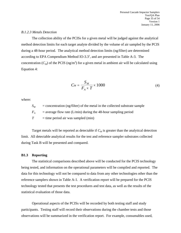#### *B.1.2.3 Metals Detection*

The collection ability of the PCISs for a given metal will be judged against the analytical method detection limits for each target analyte divided by the volume of air sampled by the PCIS during a 48-hour period. The analytical method detection limits (ng/filter) are determined according to EPA Compendium Method IO-3.3<sup>1</sup>, and are presented in Table A-3. The concentration  $(C_M)$  of the PCIS (ng/m<sup>3</sup>) for a given metal in ambient air will be calculated using Equation 4:

$$
C_M = \frac{S_M}{F_A \times T} \times 1000\tag{4}
$$

where:

 $S_M$  = concentration (ng/filter) of the metal in the collected substrate sample  $F_A$  = average flow rate (L/min) during the 48-hour sampling period  $T =$  time period air was sampled (min)

Target metals will be reported as detectable if  $C_M$  is greater than the analytical detection limit. All detectable analytical results for the test and reference sampler substrates collected during Task B will be presented and compared.

#### **B1.3 Reporting**

The statistical comparisons described above will be conducted for the PCIS technology being tested, and information on the operational parameters will be compiled and reported. The data for this technology will not be compared to data from any other technologies other than the reference samplers shown in Table A-1. A verification report will be prepared for the PCIS technology tested that presents the test procedures and test data, as well as the results of the statistical evaluation of those data.

Operational aspects of the PCISs will be recorded by both testing staff and study participants. Testing staff will record their observations during the chamber tests and those observations will be summarized in the verification report. For example, consumables used,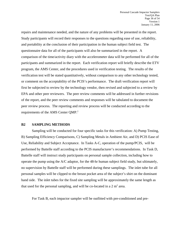repairs and maintenance needed, and the nature of any problems will be presented in the report. Study participants will record their responses to the questions regarding ease of use, reliability, and portability at the conclusion of their participation in the human subject field test. The questionnaire data for all of the participants will also be summarized in the report. A comparison of the time/activity diary with the accelerometer data will be performed for all of the participants and summarized in the report. Each verification report will briefly describe the ETV program, the AMS Center, and the procedures used in verification testing. The results of the verification test will be stated quantitatively, without comparison to any other technology tested, or comment on the acceptability of the PCIS's performance. The draft verification report will first be subjected to review by the technology vendor, then revised and subjected to a review by EPA and other peer reviewers. The peer review comments will be addressed in further revisions of the report, and the peer review comments and responses will be tabulated to document the peer review process. The reporting and review process will be conducted according to the requirements of the AMS Center QMP.2

#### **B2 SAMPLING METHODS**

Sampling will be conducted for four specific tasks for this verification: A) Pump Testing, B) Sampling Efficiency Comparisons, C) Sampling Metals in Ambient Air, and D) PCIS Ease of Use, Reliability and Subject Acceptance. In Tasks A-C, operation of the pump/PCIS, will be performed by Battelle staff according to the PCIS manufacturer's recommendations. In Task D, Battelle staff will instruct study participants on personal sample collection, including how to operate the pump using the A/C adaptor, for the 48-hr human subject field study, but ultimately, no supervision by Battelle staff will be performed during these samplings. The inlet tube for all personal samples will be clipped to the breast pocket area of the subject's shirt on the dominant hand side. The inlet tubes for the fixed site sampling will be approximately the same length as that used for the personal sampling, and will be co-located in a  $2 \text{ m}^2$  area.

For Task B, each impactor sampler will be outfitted with pre-conditioned and pre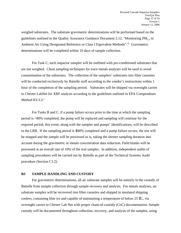weighed substrates. The substrate gravimetric determinations will be performed based on the guidelines outlined in the Quality Assurance Guidance Document 2.12, "Monitoring  $PM<sub>2.5</sub>$  in Ambient Air Using Designated Reference or Class I Equivalent Methods".<sup>22</sup> Gravimetric determinations will be completed within 10 days of sample collection.

For Task C, each impactor sampler will be outfitted with pre-conditioned substrates that are not weighed. Clean sampling techniques for trace metals analyses will be used to avoid contamination of the substrates. The collection of the samplers' substrates into filter cassettes will be conducted exclusively by Battelle staff according to the vendor's instructions within 1 hour of the completion of the sampling period. Substrates will be shipped via overnight carrier to Chester LabNet for XRF analysis according to the guidelines outlined in EPA Compendium Method IO-3.3. $<sup>1</sup>$ </sup>

For Tasks B and C, if a pump failure occurs prior to the time at which the sampling period is <80% completed, the pump will be replaced and sampling will continue for the required period; this event, along with the sampler and pumps' identifications, will be described in the LRB. If the sampling period is \$80% completed and a pump failure occurs, the test will be stopped and the sample will be processed as is, taking the shorter sampling duration into account during the gravimetric or metals concentration data reduction. Field blanks will be processed at an overall rate of 10% of the real samples. In addition, independent audits of sampling procedures will be carried out by Battelle as part of the Technical Systems Audit procedure (Section C1.2).

#### **B3 SAMPLE HANDLING AND CUSTODY**

For gravimetric determinations, all air substrate samples will be entirely in the custody of Battelle from sample collection through sample recovery and analysis. For metals analyses, air substrate samples will be recovered into filter cassettes and shipped in insulated shipping coolers, containing blue ice and capable of maintaining a temperature of below 25 EC, via overnight carrier to Chester Lab Net with proper chain-of-custody (CoC) documentation. Sample custody will be documented throughout collection, recovery, and analysis of the samples, using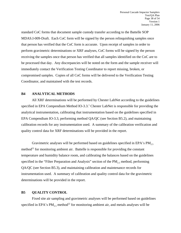standard CoC forms that document sample custody transfer according to the Battelle SOP MDAS.I-009-Draft. Each CoC form will be signed by the person relinquishing samples once that person has verified that the CoC form is accurate. Upon receipt of samples in order to perform gravimetric determinations or XRF analyses, CoC forms will be signed by the person receiving the samples once that person has verified that all samples identified on the CoC are to be processed that day. Any discrepancies will be noted on the form and the sample receiver will immediately contact the Verification Testing Coordinator to report missing, broken, or compromised samples. Copies of all CoC forms will be delivered to the Verification Testing Coordinator, and maintained with the test records.

#### **B4 ANALYTICAL METHODS**

All XRF determinations will be performed by Chester LabNet according to the guidelines specified in EPA Compendium Method IO-3.3.<sup>1</sup> Chester LabNet is responsible for providing the analytical instrumentation, calibrating that instrumentation based on the guidelines specified in EPA Compendium IO-3.3, performing method QA/QC (see Section B5.2), and maintaining calibration records for any instrumentation used. A summary of the calibration verification and quality control data for XRF determinations will be provided in the report.

Gravimetric analyses will be performed based on guidelines specified in EPA's  $PM<sub>25</sub>$ method<sup>22</sup> for monitoring ambient air. Battelle is responsible for providing the constant temperature and humidity balance room, and calibrating the balances based on the guidelines specified in the "Filter Preparation and Analysis" section of the  $PM_{2.5}$  method, performing QA/QC (see Section B5.3), and maintaining calibration and maintenance records for instrumentation used. A summary of calibration and quality control data for the gravimetric determinations will be provided in the report.

#### **B5 QUALITY CONTROL**

Fixed site air sampling and gravimetric analyses will be performed based on guidelines specified in EPA's PM<sub>2.5</sub> method<sup>22</sup> for monitoring ambient air, and metals analyses will be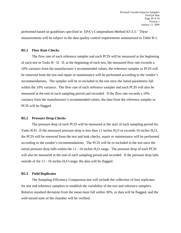performed based on guidelines specified in EPA's Compendium Method  $IO-3.3$ <sup>1</sup>. These measurements will be subject to the data quality control requirements summarized in Table B-1.

#### **B5.1 Flow Rate Checks**

The flow rate of each reference sampler and each PCIS will be measured at the beginning of each test in Tasks B - D. If, at the beginning of each test, the measured flow rate exceeds a 10% variance from the manufacturer's recommended values, the reference sampler or PCIS will be removed from the test and repair or maintenance will be performed according to the vendor's recommendations. The sampler will be re-included in the test once the initial parameters fall within the 10% variance. The flow rate of each reference sampler and each PCIS will also be measured at the end of each sampling period and recorded. If the flow rate exceeds a 10% variance from the manufacturer's recommended values, the data from the reference sampler or PCIS will be flagged.

#### **B5.2 Pressure Drop Checks**

The pressure drop of each PCIS will be measured at the start of each sampling period for Tasks B-D. If the measured pressure drop is less than 11 inches  $H_2O$  or exceeds 16 inches  $H_2O$ , the PCIS will be removed from the test and leak checks, repair or maintenance will be performed according to the vendor's recommendations. The PCIS will be re-included in the test once the initial pressure drop falls within the  $11 - 16$  inches  $H<sub>2</sub>O$  range. The pressure drop of each PCIS will also be measured at the end of each sampling period and recorded. If the pressure drop falls outside of the  $11 - 16$  inches  $H<sub>2</sub>O$  range, the data will be flagged.

#### **B5.3 Field Replicates**

The Sampling Efficiency Comparison test will include the collection of four replicates for test and reference samplers to establish the variability of the test and reference samplers. Relative standard deviation from the mean must fall within 30%, or data will be flagged, and the well-mixed state of the chamber will be verified.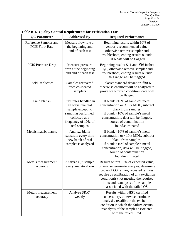| <b>QC</b> Parameter                            | <b>Addressed By</b>                                                                                                                             | <b>Required Performance</b>                                                                                                                                                                                                                                                               |
|------------------------------------------------|-------------------------------------------------------------------------------------------------------------------------------------------------|-------------------------------------------------------------------------------------------------------------------------------------------------------------------------------------------------------------------------------------------------------------------------------------------|
| Reference Sampler and<br><b>PCIS Flow Rate</b> | Measure flow rate at<br>the beginning and<br>end of each test                                                                                   | Beginning results within 10% of<br>vendor's recommended value;<br>otherwise remove sampler and<br>troubleshoot; ending results outside<br>10% data will be flagged                                                                                                                        |
| <b>PCIS Pressure Drop</b>                      | Measure pressure<br>drop at the beginning<br>and end of each test                                                                               | Beginning results $$11$ and #16 inches<br>$H2O$ ; otherwise remove sampler and<br>troubleshoot; ending results outside<br>this range will be flagged                                                                                                                                      |
| <b>Field Replicates</b>                        | Samples recovered<br>from co-located<br>samplers                                                                                                | Relative standard deviation $#30\%$ ,<br>otherwise chamber will be analyzed to<br>prove well-mixed condition, data will<br>be flagged                                                                                                                                                     |
| Field blanks                                   | Substrates handled in<br>all ways like real<br>sample except no<br>sampling performed,<br>collected at a<br>frequency of 10% of<br>real samples | If blank $\langle 10\% \text{ of sample's metal} \rangle$<br>concentration or $<$ 10 x MDL, subtract<br>blank from samples;<br>if blank $>10\%$ of sample's metal<br>concentration, data will be flagged,<br>source of contamination<br>found/eliminated                                  |
| Metals matrix blanks                           | Analyze blank<br>substrate every time<br>new batch of real<br>samples is analyzed                                                               | If blank $\langle 10\% \text{ of sample's metal} \rangle$<br>concentration or <10 x MDL, subtract<br>blank from samples;<br>if blank $>10\%$ of sample's metal<br>concentration, data will be flagged,<br>source of contamination<br>found/eliminated                                     |
| Metals measurement<br>accuracy                 | Analyze QS <sup>a</sup> sample<br>every analytical run                                                                                          | Results within 10% of expected value,<br>otherwise terminate analysis, determine<br>cause of QS failure; repeated failures<br>require a recalibration of any excitation<br>condition(s) not meeting the required<br>limits and reanalysis of the samples<br>associated with the failed QS |
| Metals measurement<br>accuracy                 | Analyze SRM <sup>b</sup><br>weekly                                                                                                              | Results within NIST certified<br>uncertainty, otherwise terminate<br>analysis, recalibrate the excitation<br>condition in which the failure occurs,<br>reanalysis of the samples associated<br>with the failed SRM.                                                                       |

**Table B-1. Quality Control Requirements for Verification Tests**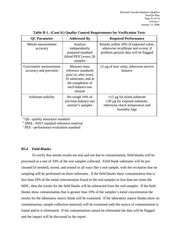| <b>QC</b> Parameter                               | <b>Addressed By</b>                                                                                                                       | <b>Required Performance</b>                                                                                               |
|---------------------------------------------------|-------------------------------------------------------------------------------------------------------------------------------------------|---------------------------------------------------------------------------------------------------------------------------|
| Metals measurement<br>accuracy                    | Analyze<br>independently<br>prepared standard<br>(blind $PESc$ ) every 20<br>samples                                                      | Results within 20% of expected value,<br>otherwise recalibrate and re-test; if<br>problem persists data will be flagged   |
| Gravimetric measurement<br>accuracy and precision | Measure mass<br>reference standards<br>prior to, after every<br>10 substrates, and at<br>the completion of<br>each balance-use<br>session | $\pm 2$ µg of true value; otherwise service<br>balance                                                                    |
| Substrate stability                               | Re-weigh 10% of<br>previous balance-use<br>session's samples                                                                              | $\pm 15$ µg for blank substrate<br>$\pm 30$ µg for exposed substrate;<br>otherwise check temperature and<br>humidity logs |

|  |  | Table B-1. (Cont'd.) Quality Control Requirements for Verification Tests |  |
|--|--|--------------------------------------------------------------------------|--|
|  |  |                                                                          |  |

<sup>a</sup> QS - quality assurance standard

 $\rm ^{b}$  SRM - NIST standard reference material  $\rm ^{c}$  DES performance evaluation standard

PES - performance evaluation standard

#### **B5.4 Field Blanks**

To verify that metals results are real and not due to contamination, field blanks will be processed at a rate of 10% of the real samples collected. Field blank substrates will be precleaned (if needed), stored, and treated in all ways like a real sample, with the exception that no sampling will be performed on these substrates. If the field blanks show contamination that is less than 10% of the metal concentration found in the real samples or less than ten times the MDL, then the results for the field blanks will be subtracted from the real samples. If the field blanks show contamination that is greater than 10% of the samples's metal concentration the results for the laboratory matrix blank will be examined. If the laboratory matrix blanks show no contamination, sample collection materials will be examined until the source of contamination is found and/or is eliminated. If the contamination cannot be eliminated the data will be flagged and the impact will be discussed in the report.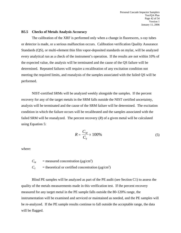#### **B5.5 Checks of Metals Analysis Accuracy**

The calibration of the XRF is performed only when a change in fluorescers, x-ray tubes or detector is made, or a serious malfunction occurs. Calibration verification Quality Assurance Standards (QS), or multi-element thin film vapor-deposited standards on mylar, will be analyzed every analytical run as a check of the instrument's operation. If the results are not within 10% of the expected value, the analysis will be terminated and the cause of the QS failure will be determined. Repeated failures will require a recalibration of any excitation condition not meeting the required limits, and reanalysis of the samples associated with the failed QS will be performed.

NIST-certified SRMs will be analyzed weekly alongside the samples. If the percent recovery for any of the target metals in the SRM falls outside the NIST certified uncertainty, analysis will be terminated and the cause of the SRM failure will be determined. The excitation condition in which the failure occurs will be recalibrated and the samples associated with the failed SRM will be reanalyzed. The percent recovery (*R*) of a given metal will be calculated using Equation 5:

$$
R = \frac{C_M}{C_T} \times 100\%
$$
\n<sup>(5)</sup>

where:

 $C_M$  = measured concentration ( $\mu$ g/cm<sup>2</sup>)

 $C_T$  = theoretical or certified concentration ( $\mu$ g/cm<sup>2</sup>)

Blind PE samples will be analyzed as part of the PE audit (see Section C1) to assess the quality of the metals measurements made in this verification test. If the percent recovery measured for any target metal in the PE sample falls outside the 80-120% range, the instrumentation will be examined and serviced or maintained as needed, and the PE samples will be re-analyzed. If the PE sample results continue to fall outside the acceptable range, the data will be flagged.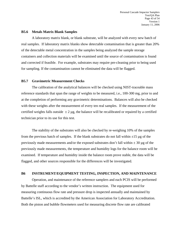#### **B5.6 Metals Matrix Blank Samples**

A laboratory matrix blank, or blank substrate, will be analyzed with every new batch of real samples. If laboratory matrix blanks show detectable contamination that is greater than 20% of the detectable metal concentration in the samples being analyzed the sample storage containers and collection materials will be examined until the source of contamination is found and corrected if feasible. For example, substrates may require pre-cleaning prior to being used for sampling. If the contamination cannot be eliminated the data will be flagged.

#### **B5.7 Gravimetric Measurement Checks**

The calibration of the analytical balances will be checked using NIST-traceable mass reference standards that span the range of weights to be measured, i.e., 100-300 mg, prior to and at the completion of performing any gravimetric determinations. Balances will also be checked with these weights after the measurement of every ten real samples. If the measurement of the certified weights falls outside  $\pm 2 \mu$ g, the balance will be recalibrated or repaired by a certified technician prior to its use for this test.

The stability of the substrates will also be checked by re-weighing 10% of the samples from the previous batch of samples. If the blank substrates do not fall within  $\pm 15 \mu$ g of the previously made measurements and/or the exposed substrates don't fall within  $\pm$  30 µg of the previously made measurements, the temperature and humidity logs for the balance room will be examined. If temperature and humidity inside the balance room prove stable, the data will be flagged, and other sources responsible for the differences will be investigated.

#### **B6 INSTRUMENT/EQUIPMENT TESTING, INSPECTION, AND MAINTENANCE**

Operation, and maintenance of the reference samplers and each PCIS will be performed by Battelle staff according to the vendor's written instruction. The equipment used for measuring continuous flow rate and pressure drop is inspected annually and maintained by Battelle's ISL, which is accredited by the American Association for Laboratory Accreditation. Both the piston and bubble flowmeters used for measuring discrete flow rate are calibrated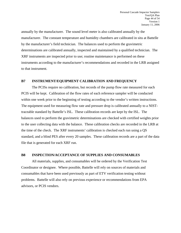annually by the manufacturer. The sound level meter is also calibrated annually by the manufacturer. The constant temperature and humidity chambers are calibrated in situ at Battelle by the manufacturer's field technician. The balances used to perform the gravimetric determinations are calibrated annually, inspected and maintained by a qualified technician. The XRF instruments are inspected prior to use; routine maintenance is performed on these instruments according to the manufacturer's recommendations and recorded in the LRB assigned to that instrument.

#### **B7 INSTRUMENT/EQUIPMENT CALIBRATION AND FREQUENCY**

The PCISs require no calibration, but records of the pump flow rate measured for each PCIS will be kept. Calibration of the flow rates of each reference sampler will be conducted within one week prior to the beginning of testing according to the vendor's written instructions. The equipment used for measuring flow rate and pressure drop is calibrated annually to a NISTtraceable standard by Battelle's ISL. These calibration records are kept by the ISL. The balances used to perform the gravimetric determinations are checked with certified weights prior to the user collecting data with the balance. These calibration checks are recorded in the LRB at the time of the check. The XRF instruments' calibration is checked each run using a QS standard, and a blind PES after every 20 samples. These calibration records are a part of the data file that is generated for each XRF run.

#### **B8 INSPECTION/ACCEPTANCE OF SUPPLIES AND CONSUMABLES**

All materials, supplies, and consumables will be ordered by the Verification Test Coordinator or designee. Where possible, Battelle will rely on sources of materials and consumables that have been used previously as part of ETV verification testing without problems. Battelle will also rely on previous experience or recommendations from EPA advisors, or PCIS vendors.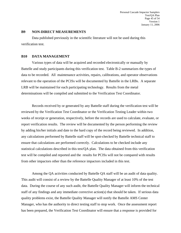#### **B9 NON-DIRECT MEASUREMENTS**

Data published previously in the scientific literature will not be used during this verification test.

#### **B10 DATA MANAGEMENT**

Various types of data will be acquired and recorded electronically or manually by Battelle and study participants during this verification test. Table B-2 summarizes the types of data to be recorded. All maintenance activities, repairs, calibrations, and operator observations relevant to the operation of the PCISs will be documented by Battelle in the LRBs. A separate LRB will be maintained for each participating technology. Results from the metal determinations will be compiled and submitted to the Verification Test Coordinator.

Records received by or generated by any Battelle staff during the verification test will be reviewed by the Verification Test Coordinator or the Verification Testing Leader within two weeks of receipt or generation, respectively, before the records are used to calculate, evaluate, or report verification results. The review will be documented by the person performing the review by adding his/her initials and date to the hard copy of the record being reviewed. In addition, any calculations performed by Battelle staff will be spot-checked by Battelle technical staff to ensure that calculations are performed correctly. Calculations to be checked include any statistical calculations described in this test/QA plan. The data obtained from this verification test will be compiled and reported and the results for PCISs will not be compared with results from other impactors other than the reference impactors included in this test.

Among the QA activities conducted by Battelle QA staff will be an audit of data quality. This audit will consist of a review by the Battelle Quality Manager of at least 10% of the test data. During the course of any such audit, the Battelle Quality Manager will inform the technical staff of any findings and any immediate corrective action(s) that should be taken. If serious data quality problems exist, the Battelle Quality Manager will notify the Battelle AMS Center Manager, who has the authority to direct testing staff to stop work. Once the assessment report has been prepared, the Verification Test Coordinator will ensure that a response is provided for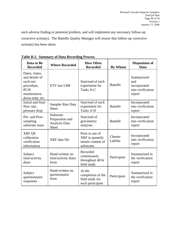each adverse finding or potential problem, and will implement any necessary follow-up corrective action(s). The Battelle Quality Manager will ensure that follow-up corrective action(s) has been taken.

| Data to Be<br><b>Recorded</b>                                                                                | <b>Where Recorded</b>                                         | <b>How Often</b><br><b>Recorded</b>                                   | <b>By Whom</b>    | <b>Disposition of</b><br><b>Data</b>                             |
|--------------------------------------------------------------------------------------------------------------|---------------------------------------------------------------|-----------------------------------------------------------------------|-------------------|------------------------------------------------------------------|
| Dates, times,<br>and details of<br>each test<br>procedure,<br><b>PCIS</b><br>maintenance,<br>down time, etc. | <b>ETV</b> test LRB                                           | Start/end of each<br>experiment for<br>Tasks A-C                      | <b>Battelle</b>   | Summarized<br>and<br>incorporated<br>into verification<br>report |
| Initial and final<br>flow rate,<br>pressure drop                                                             | Sampler Run Data<br><b>Sheet</b>                              | Start/end of each<br>experiment for<br><b>Tasks A-D</b>               | <b>Battelle</b>   | Incorporated<br>into verification<br>report                      |
| Pre- and Post-<br>sampling<br>substrate mass                                                                 | Substrate<br>Preparation and<br>Analysis Data<br><b>Sheet</b> | Start/end of<br>gravimetric<br>analyses                               | <b>Battelle</b>   | Incorporated<br>into verification<br>report                      |
| XRF QS<br>calibration<br>verification<br>information                                                         | XRF data file                                                 | Prior to use of<br>XRF to quantify<br>metals content of<br>substrates | Chester<br>LabNet | Incorporated<br>into verification<br>report                      |
| Subject<br>time/activity<br>diary                                                                            | Hand-written on<br>time/activity diary<br>form                | Recorded<br>continuously<br>throughout 48 hr<br>field study           | Participant       | Summarized in<br>the verification<br>report                      |
| Subject<br>questionnaire<br>responses                                                                        | Hand-written on<br>questionnaire<br>form                      | At the<br>completion of the<br>field study for<br>each participant    | Participant       | Summarized in<br>the verification<br>report                      |

**Table B-2. Summary of Data Recording Process**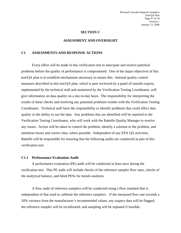#### **SECTION C**

#### **ASSESSMENT AND OVERSIGHT**

#### **C1 ASSESSMENTS AND RESPONSE ACTIONS**

Every effort will be made in this verification test to anticipate and resolve potential problems before the quality of performance is compromised. One of the major objectives of this test/QA plan is to establish mechanisms necessary to ensure this. Internal quality control measures described in this test/QA plan, which is peer reviewed by a panel of outside experts, implemented by the technical staff and monitored by the Verification Testing Coordinator, will give information on data quality on a day-to-day basis. The responsibility for interpreting the results of these checks and resolving any potential problems resides with the Verification Testing Coordinator. Technical staff have the responsibility to identify problems that could affect data quality or the ability to use the data. Any problems that are identified will be reported to the Verification Testing Coordinator, who will work with the Battelle Quality Manager to resolve any issues. Action will be taken to control the problem, identify a solution to the problem, and minimize losses and correct data, where possible. Independent of any EPA QA activities, Battelle will be responsible for ensuring that the following audits are conducted as part of this verification test.

#### **C1.1 Performance Evaluation Audit**

A performance evaluation (PE) audit will be conducted at least once during the verification test. This PE audit will include checks of the reference sampler flow rates, checks of the analytical balance, and blind PESs for metals analyses.

A flow audit of reference samplers will be conducted using a flow standard that is independent of that used to calibrate the reference samplers. If the measured flow rate exceeds a 10% variance from the manufacturer's recommended values, any suspect data will be flagged, the reference sampler will be recalibrated, and sampling will be repeated if feasible.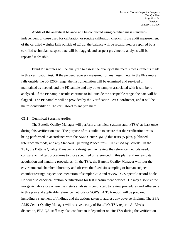Audits of the analytical balance will be conducted using certified mass standards independent of those used for calibration or routine calibration checks. If the audit measurement of the certified weights falls outside of  $\pm 2 \mu$ g, the balance will be recalibrated or repaired by a certified technician, suspect data will be flagged, and suspect gravimetric analysis will be repeated if feasible.

Blind PE samples will be analyzed to assess the quality of the metals measurements made in this verification test. If the percent recovery measured for any target metal in the PE sample falls outside the 80-120% range, the instrumentation will be examined and serviced or maintained as needed, and the PE sample and any other samples associated with it will be reanalyzed. If the PE sample results continue to fall outside the acceptable range, the data will be flagged. The PE samples will be provided by the Verification Test Coordinator, and it will be the responsibility of Chester LabNet to analyze them.

#### **C1.2 Technical Systems Audits**

The Battelle Quality Manager will perform a technical systems audit (TSA) at least once during this verification test. The purpose of this audit is to ensure that the verification test is being performed in accordance with the AMS Center QMP, $<sup>1</sup>$  this test/QA plan, published</sup> reference methods, and any Standard Operating Procedures (SOPs) used by Battelle. In the TSA, the Battelle Quality Manager or a designee may review the reference methods used, compare actual test procedures to those specified or referenced in this plan, and review data acquisition and handling procedures. In the TSA, the Battelle Quality Manager will tour the environmental chamber laboratory and observe the fixed site sampling or human subject chamber testing; inspect documentation of sample CoC; and review PCIS-specific record books. He will also check calibration certifications for test measurement devices. He may also visit the inorganic laboratory where the metals analysis is conducted, to review procedures and adherence to this plan and applicable reference methods or SOP's. A TSA report will be prepared, including a statement of findings and the actions taken to address any adverse findings. The EPA AMS Center Quality Manager will receive a copy of Battelle's TSA report. At EPA's discretion, EPA QA staff may also conduct an independent on-site TSA during the verification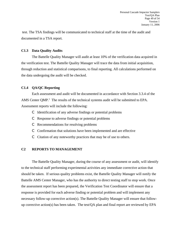test. The TSA findings will be communicated to technical staff at the time of the audit and documented in a TSA report.

#### **C1.3 Data Quality Audits**

The Battelle Quality Manager will audit at least 10% of the verification data acquired in the verification test. The Battelle Quality Manager will trace the data from initial acquisition, through reduction and statistical comparisons, to final reporting. All calculations performed on the data undergoing the audit will be checked.

# **C1.4 QA/QC Reporting**

Each assessment and audit will be documented in accordance with Section 3.3.4 of the AMS Center  $QMP<sup>1</sup>$ . The results of the technical systems audit will be submitted to EPA. Assessment reports will include the following:

- C Identification of any adverse findings or potential problems
- C Response to adverse findings or potential problems
- C Recommendations for resolving problems
- C Confirmation that solutions have been implemented and are effective
- C Citation of any noteworthy practices that may be of use to others.

# **C2 REPORTS TO MANAGEMENT**

The Battelle Quality Manager, during the course of any assessment or audit, will identify to the technical staff performing experimental activities any immediate corrective action that should be taken. If serious quality problems exist, the Battelle Quality Manager will notify the Battelle AMS Center Manager, who has the authority to direct testing staff to stop work. Once the assessment report has been prepared, the Verification Test Coordinator will ensure that a response is provided for each adverse finding or potential problem and will implement any necessary follow-up corrective action(s). The Battelle Quality Manager will ensure that followup corrective action(s) has been taken. The test/QA plan and final report are reviewed by EPA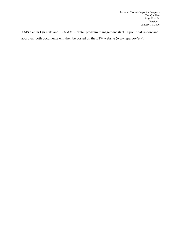AMS Center QA staff and EPA AMS Center program management staff. Upon final review and approval, both documents will then be posted on the ETV website [\(www.epa.gov/etv](http://www.epa.gov/etv)).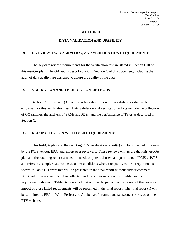#### **SECTION D**

#### **DATA VALIDATION AND USABILITY**

#### **D1 DATA REVIEW, VALIDATION, AND VERIFICATION REQUIREMENTS**

The key data review requirements for the verification test are stated in Section B10 of this test/QA plan. The QA audits described within Section C of this document, including the audit of data quality, are designed to assure the quality of the data.

#### **D2 VALIDATION AND VERIFICATION METHODS**

Section C of this test/QA plan provides a description of the validation safeguards employed for this verification test. Data validation and verification efforts include the collection of QC samples, the analysis of SRMs and PESs, and the performance of TSAs as described in Section C.

#### **D3 RECONCILIATION WITH USER REQUIREMENTS**

This test/QA plan and the resulting ETV verification report(s) will be subjected to review by the PCIS vendor, EPA, and expert peer reviewers. These reviews will assure that this test/QA plan and the resulting report(s) meet the needs of potential users and permitters of PCISs. PCIS and reference sampler data collected under conditions where the quality control requirements shown in Table B-1 were met will be presented in the final report without further comment. PCIS and reference sampler data collected under conditions where the quality control requirements shown in Table B-1 were not met will be flagged and a discussion of the possible impact of those failed requirements will be presented in the final report. The final report(s) will be submitted to EPA in Word Perfect and Adobe ".pdf" format and subsequently posted on the ETV website.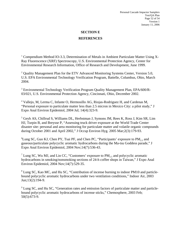# **SECTION E REFERENCES**

<sup>1</sup> Compendium Method IO-3.3, Determination of Metals in Ambient Particulate Matter Using X-Ray Fluorescence (XRF) Spectroscopy, U.S. Environmental Protection Agency, Center for Environmental Research Information, Office of Research and Development, June 1999.

<sup>2</sup> Quality Management Plan for the ETV Advanced Monitoring Systems Center, Version 5.0, U.S. EPA Environmental Technology Verification Program, Battelle, Columbus, Ohio, March 2004.

<sup>3</sup> Environmental Technology Verification Program Quality Management Plan, EPA/600/R 03/021, U.S. Environmental Protection Agency, Cincinnati, Ohio, December 2002.

<sup>4</sup> Vallejo, M, Lerma C, Infante O, Hermosillo AG, Riojas-Rodriguez H, and Cardenas M, "Personal exposure to particulate matter less than 2.5 micron in Mexico City: a pilot study," J Expo Anal Environ Epidemiol, 2004 Jul; 14(4):323-9.

5 Geyh AS, Chillrud S, Williams DL, Herbstman J, Symons JM, Rees K, Ross J, Kim SR, Lim HJ, Turpin B, and Breysse P, "Assessing truck driver exposure at the World Trade Center disaster site: personal and area monitoring for particulate matter and volatile organic compounds during October 2001 and April 2002," J Occup Environ Hyg. 2005 Mar;2(3):179-93.

<sup>6</sup>Lung SC, Guo KJ, Chen PY, Tsai PF, and Chen PC, "Participants' exposure to  $PM_{2.5}$  and gaseous/particulate polycyclic aromatic hydrocarbons during the Ma-tsu Goddess parade," J Expo Anal Environ Epidemiol, 2004 Nov;14(7):536-43.

<sup>7</sup> Lung SC, Wu MJ, and Lin CC, "Customers' exposure to  $PM_{2.5}$  and polycyclic aromatic hydrocarbons in smoking/nonsmoking sections of 24-h coffee shops in Taiwan," J Expo Anal Environ Epidemiol, 2004 Nov;14(7):529-35.

<sup>8</sup> Lung SC, Kao MC, and Hu SC, "Contribution of incense burning to indoor PM10 and particlebound polycyclic aromatic hydrocarbons under two ventilation conditions," Indoor Air, 2003 Jun;13(2):194-9.

<sup>9</sup> Lung SC, and Hu SC, "Generation rates and emission factors of particulate matter and particlebound polycyclic aromatic hydrocarbons of incense sticks," Chemosphere, 2003 Feb; 50(5):673-9.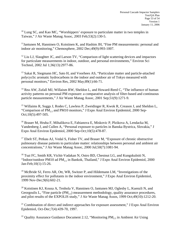<sup>10</sup> Lung SC, and Kao MC, "Worshippers' exposure to particulate matter in two temples in Taiwan," J Air Waste Manag Assoc, 2003 Feb;53(2):130-5.

<sup>11</sup>Jantunen M, Hanninen O, Koistinen K, and Hashim JH, "Fine PM measurements: personal and indoor air monitoring," Chemosphere, 2002 Dec;49(9):993-1007.

 $12$  Liu LJ, Slaughter JC, and Larson TV, "Comparison of light scattering devices and impactors for particulate measurements in indoor, outdoor, and personal environments," Environ Sci Technol, 2002 Jul 1;36(13):2977-86.

<sup>13</sup> Sakai R, Siegmann HC, Sato H, and Voorhees AS, "Particulate matter and particle-attached polycyclic aromatic hydrocarbons in the indoor and outdoor air of Tokyo measured with personal monitors," Environ Res, 2002 May;89(1):66-71.

<sup>14</sup> Rea AW, Zufall MJ, Willaism RW, Sheldon L, and Howard-Reed C, "The influence of human activity patterns on personal PM exposure: a comparative analysis of filter-based and continuous particle measurements," J Air Waste Manag Assoc, 2001 Sep;51(9):1271-9.

<sup>15</sup> Willaims R, Suggs J, Rodes C, Lawless P, Zweidinger R, Kwok R, Creason J, and Sheldon L, "Comparison of  $PM<sub>2.5</sub>$  and PM10 monitors," J Expo Anal Environ Epidemiol, 2000 Sep-Oct;10(5):497-505.

<sup>16</sup> Brauer M, Hruba F, Mihalikova E, Fabianova E, Miskovic P, Plzikova A, Lendacka M, Vandenberg J, and Cullen A, "Personal exposure to particles in Banska Bystrica, Slovakia," J Expo Anal Environ Epidemiol, 2000 Sep-Oct;10(5):478-87.

<sup>17</sup> Ebelt ST, Petkau AJ, Vedal S, Fisher TV, and Brauer M, "Exposure of chronic obstructive pulmonary disease patients to particulate matter: relationships between personal and ambient air concentrations," J Air Waste Manag Assoc, 2000 Jul;50(7):1081-94.

<sup>18</sup> Tsai FC, Smith KR, Vichit-Vadakan N, Ostro BD, Chestnut LG, and Kungskulniti N, "Indoor/outdoor PM10 ad PM<sub>2.5</sub> in Bankok, Thailand," J Expo Anal Environ Epidemiol, 2000 Jan-Feb;10(1):15-26.

<sup>19</sup> McBride SJ, Ferro AR, Ott, WR, Switzer P, and Hildemann LM, "Investigations of the proximity effect for pollutants in the indoor environment," J Expo Anal Environ Epidemiol, 1999 Nov-Dec;9(6):602-21.

 $20$  Koistinen KJ, Kousa A, Tenhola V, Hanninen O, Jantunen MJ, Oglesby L, Kuenzli N, and Georgoulis L, "Fine particle  $(PM_{2.5})$  measurement methodology, quality assurance procedures, and pilot results of the EXPOLIS study," J Air Waste Manag Assos, 1999 Oct;49(10):1212-20.

 $21$  Combination of direct and indirect approaches for exposure assessment," J Expo Anal Environ Epidemiol, Oct-Dec;7(4):439-70, 1997.

<sup>22</sup> Quality Assurance Guidance Document 2.12, "Monitoring  $PM_2$ , in Ambient Air Using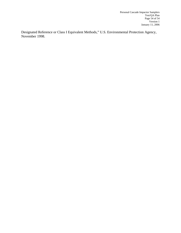Designated Reference or Class I Equivalent Methods," U.S. Environmental Protection Agency, November 1998.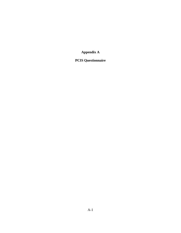**Appendix A**

**PCIS Questionnaire**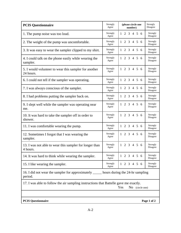| <b>PCIS Questionnaire</b>                                                             | Strongly          | (please circle one                        | Strongly             |
|---------------------------------------------------------------------------------------|-------------------|-------------------------------------------|----------------------|
|                                                                                       | Agree             | number)                                   | Disagree             |
| 1. The pump noise was too loud.                                                       | Strongly          | 2 3 4 5 6                                 | Strongly             |
|                                                                                       | Agree             | 1.                                        | Disagree             |
| 2. The weight of the pump was uncomfortable.                                          | Strongly          | 2 3 4 5 6                                 | Strongly             |
|                                                                                       | Agree             | $\mathbf{1}$                              | Disagree             |
| 3. It was easy to wear the sampler clipped to my shirt.                               | Strongly<br>Agree | $\overline{2}$<br>3 4 5 6<br>$\mathbf{1}$ | Strongly<br>Disagree |
| 4. I could talk on the phone easily while wearing the                                 | Strongly          | 2 3 4 5 6                                 | Strongly             |
| sampler.                                                                              | Agree             | $\mathbf{1}$                              | Disagree             |
| 5. I would volunteer to wear this sampler for another                                 | Strongly          | $1\ 2\ 3\ 4\ 5\ 6$                        | Strongly             |
| 24 hours.                                                                             | Agree             |                                           | Disagree             |
| 6. I could not tell if the sampler was operating.                                     | Strongly          | 2 3 4 5 6                                 | Strongly             |
|                                                                                       | Agree             | $\mathbf{1}$                              | Disagree             |
| 7. I was always conscious of the sampler.                                             | Strongly          | 2 3 4 5 6                                 | Strongly             |
|                                                                                       | Agree             | $\mathbf{1}$                              | Disagree             |
| 8. I had problems putting the sampler back on.                                        | Strongly<br>Agree | $3 \t4 \t5$<br>2<br>- 6                   | Strongly<br>Disagree |
| 9. I slept well while the sampler was operating near                                  | Strongly          | 2 3 4 5 6                                 | Strongly             |
| me.                                                                                   | Agree             | $\mathbf{1}$                              | Disagree             |
| 10. It was hard to take the sampler off in order to                                   | Strongly          | $1 \t2 \t3 \t4 \t5 \t6$                   | Strongly             |
| shower.                                                                               | Agree             |                                           | Disagree             |
| 11. I was comfortable wearing the pump.                                               | Strongly          | 2 3 4 5 6                                 | Strongly             |
|                                                                                       | Agree             | $\mathbf{1}$                              | Disagree             |
| 12. Sometimes I forgot that I was wearing the                                         | Strongly          | 2 3 4 5 6                                 | Strongly             |
| sampler.                                                                              | Agree             | $\mathbf{1}$                              | Disagree             |
| 13. I was not able to wear this sampler for longer than                               | Strongly          | $1\ 2\ 3\ 4\ 5\ 6$                        | Strongly             |
| 4 hours.                                                                              | Agree             |                                           | Disagree             |
| 14. It was hard to think while wearing the sampler.                                   | Strongly          | 3 4 5 6                                   | Strongly             |
|                                                                                       | Agree             | 2                                         | Disagree             |
| 15. I like wearing the sampler.                                                       | Strongly<br>Agree | $1 \t2 \t3 \t4 \t5 \t6$                   | Strongly<br>Disagree |
| 16. I did not wear the sampler for approximately<br>period.                           |                   | hours during the 24-hr sampling           |                      |
| 17. I was able to follow the air sampling instructions that Battelle gave me exactly. |                   | Yes<br>No (circle one)                    |                      |
|                                                                                       |                   |                                           |                      |
| <b>PCIS Questionnaire</b>                                                             |                   |                                           | Page 1 of 2          |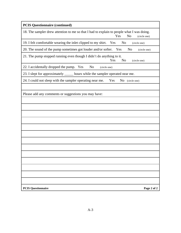| <b>PCIS Questionnaire (continued)</b>                                                                                              |
|------------------------------------------------------------------------------------------------------------------------------------|
| 18. The sampler drew attention to me so that I had to explain to people what I was doing.<br>Yes<br>N <sub>o</sub><br>(circle one) |
| 19. I felt comfortable wearing the inlet clipped to my shirt. Yes<br>N <sub>0</sub><br>(circle one)                                |
| 20. The sound of the pump sometimes got louder and/or softer. Yes<br>N <sub>o</sub><br>(circle one)                                |
| 21. The pump stopped running even though I didn't do anything to it.<br>Yes<br>N <sub>o</sub><br>(circle one)                      |
| 22. I accidentally dropped the pump. Yes<br>N <sub>0</sub><br>(circle one)                                                         |
| 23. I slept for approximately ______ hours while the sampler operated near me.                                                     |
| 24. I could not sleep with the sampler operating near me.<br>Yes<br>No (circle one)                                                |
|                                                                                                                                    |
| Please add any comments or suggestions you may have:                                                                               |
|                                                                                                                                    |
|                                                                                                                                    |
|                                                                                                                                    |
|                                                                                                                                    |
|                                                                                                                                    |
|                                                                                                                                    |
|                                                                                                                                    |
|                                                                                                                                    |
|                                                                                                                                    |
|                                                                                                                                    |
|                                                                                                                                    |
|                                                                                                                                    |
|                                                                                                                                    |
| <b>PCIS Questionnaire</b><br>Page 2 of 2                                                                                           |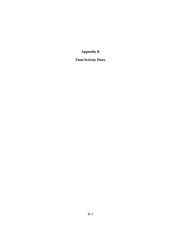**Appendix B** 

# **Time/Activity Diary**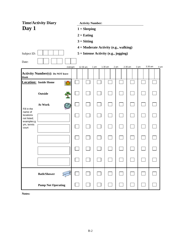|                                                   | <b>Time/Activity Diary</b>                 |                                           |          |                                        |           |      |           |      |         |      |  |  |
|---------------------------------------------------|--------------------------------------------|-------------------------------------------|----------|----------------------------------------|-----------|------|-----------|------|---------|------|--|--|
| Day 1                                             |                                            | <b>Activity Number:</b><br>$1 = Sleeping$ |          |                                        |           |      |           |      |         |      |  |  |
|                                                   |                                            | $2 =$ Eating<br>$3 = Sitting$             |          |                                        |           |      |           |      |         |      |  |  |
|                                                   |                                            |                                           |          |                                        |           |      |           |      |         |      |  |  |
|                                                   |                                            |                                           |          | 4 = Moderate Activity (e.g., walking)  |           |      |           |      |         |      |  |  |
| Subject ID:                                       |                                            |                                           |          | $5 =$ Intense Activity (e.g., jogging) |           |      |           |      |         |      |  |  |
| Date:                                             |                                            |                                           |          |                                        |           |      |           |      |         |      |  |  |
|                                                   |                                            | midnight                                  | 12:30 am | 1 am                                   | $1:30$ am | 2 am | $2:30$ am | 3 am | 3:30 am | 4 am |  |  |
| blank                                             | <b>Activity Number(s): Do NOT leave</b>    |                                           |          |                                        |           |      |           |      |         |      |  |  |
|                                                   | <b>Location:</b> Inside Home<br><u>fin</u> |                                           |          |                                        |           |      |           |      |         |      |  |  |
|                                                   | Outside                                    |                                           |          |                                        |           |      |           |      |         |      |  |  |
| Fill in the                                       | At Work                                    |                                           |          |                                        |           |      |           |      |         |      |  |  |
| name of<br>locations<br>not listed;<br>examples:g |                                            |                                           |          |                                        |           |      |           |      |         |      |  |  |
| ym, tennis<br>court                               |                                            |                                           |          |                                        |           |      |           |      |         |      |  |  |
|                                                   |                                            |                                           |          |                                        |           |      |           |      |         |      |  |  |
|                                                   |                                            |                                           |          |                                        |           |      |           |      |         |      |  |  |
|                                                   |                                            |                                           |          |                                        |           |      |           |      |         |      |  |  |
|                                                   | <b>Bath/Shower</b>                         |                                           |          |                                        |           |      |           |      |         |      |  |  |
|                                                   | <b>Pump Not Operating</b>                  |                                           |          |                                        |           |      |           |      |         |      |  |  |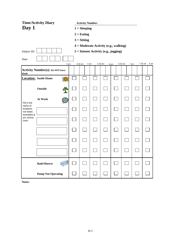|                                     | <b>Time/Activity Diary</b>              | <b>Activity Number:</b> |                                        |         |      |         |      |                   |
|-------------------------------------|-----------------------------------------|-------------------------|----------------------------------------|---------|------|---------|------|-------------------|
| Day 1                               |                                         | $1 = Sleeping$          |                                        |         |      |         |      |                   |
|                                     |                                         | $2 =$ Eating            |                                        |         |      |         |      |                   |
|                                     |                                         | $3 = Sitting$           |                                        |         |      |         |      |                   |
|                                     |                                         |                         | 4 = Moderate Activity (e.g., walking)  |         |      |         |      |                   |
| Subject ID:                         |                                         |                         | $5 =$ Intense Activity (e.g., jogging) |         |      |         |      |                   |
| Date:                               |                                         |                         |                                        |         |      |         |      |                   |
|                                     | 4 am                                    | 4:30 am                 | 5 am                                   | 5:30 am | 6 am | 6:30 am | 7 am | $7:30$ am<br>8 am |
| blank                               | <b>Activity Number(s): Do NOT leave</b> |                         |                                        |         |      |         |      |                   |
|                                     | <b>Location:</b> Inside Home<br>圃       |                         |                                        |         |      |         |      |                   |
|                                     | Outside                                 |                         |                                        |         |      |         |      |                   |
| Fill in the                         | At Work                                 |                         |                                        |         |      |         |      |                   |
| name of<br>locations<br>not listed; |                                         |                         |                                        |         |      |         |      |                   |
| examples:g<br>ym, tennis<br>court   |                                         |                         |                                        |         |      |         |      |                   |
|                                     |                                         |                         |                                        |         |      |         |      |                   |
|                                     |                                         |                         |                                        |         |      |         |      |                   |
|                                     |                                         |                         |                                        |         |      |         |      |                   |
|                                     | <b>Bath/Shower</b>                      |                         |                                        |         |      |         |      |                   |
|                                     | <b>Pump Not Operating</b>               |                         |                                        |         |      |         |      |                   |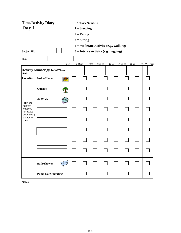|                                     | <b>Time/Activity Diary</b>                 | <b>Activity Number:</b> |                                        |         |                  |          |       |                  |
|-------------------------------------|--------------------------------------------|-------------------------|----------------------------------------|---------|------------------|----------|-------|------------------|
| Day 1                               |                                            | $1 = Sleeping$          |                                        |         |                  |          |       |                  |
|                                     |                                            | $2 =$ Eating            |                                        |         |                  |          |       |                  |
|                                     |                                            | $3 = Sitting$           |                                        |         |                  |          |       |                  |
|                                     |                                            |                         | 4 = Moderate Activity (e.g., walking)  |         |                  |          |       |                  |
| Subject ID:                         |                                            |                         | $5 =$ Intense Activity (e.g., jogging) |         |                  |          |       |                  |
| Date:                               |                                            |                         |                                        |         |                  |          |       |                  |
|                                     | 8 am                                       | 8:30 am                 | 9 am                                   | 9:30 am | 10 <sub>am</sub> | 10:30 am | 11 am | 11:30 am<br>noon |
| blank                               | <b>Activity Number(s): Do NOT leave</b>    |                         |                                        |         |                  |          |       |                  |
|                                     | <b>Location:</b> Inside Home<br><b>for</b> |                         |                                        |         |                  |          |       |                  |
|                                     | Outside                                    |                         |                                        |         |                  |          |       |                  |
| Fill in the                         | At Work                                    |                         |                                        |         |                  |          |       |                  |
| name of<br>locations<br>not listed; |                                            |                         |                                        |         |                  |          |       |                  |
| examples:g<br>ym, tennis<br>court   |                                            |                         |                                        |         |                  |          |       |                  |
|                                     |                                            |                         |                                        |         |                  |          |       |                  |
|                                     |                                            |                         |                                        |         |                  |          |       |                  |
|                                     |                                            |                         |                                        |         |                  |          |       |                  |
|                                     | <b>Bath/Shower</b>                         |                         |                                        |         |                  |          |       |                  |
|                                     | <b>Pump Not Operating</b>                  |                         |                                        |         |                  |          |       |                  |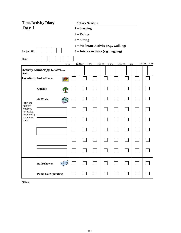|                                     | <b>Time/Activity Diary</b>              |                                           |                  |                                        |                   |  |                 |  |                 |  |  |
|-------------------------------------|-----------------------------------------|-------------------------------------------|------------------|----------------------------------------|-------------------|--|-----------------|--|-----------------|--|--|
| Day 1                               |                                         | <b>Activity Number:</b><br>$1 = Sleeping$ |                  |                                        |                   |  |                 |  |                 |  |  |
|                                     |                                         |                                           | $2 =$ Eating     |                                        |                   |  |                 |  |                 |  |  |
|                                     |                                         |                                           | $3 = Sitting$    |                                        |                   |  |                 |  |                 |  |  |
|                                     |                                         |                                           |                  | 4 = Moderate Activity (e.g., walking)  |                   |  |                 |  |                 |  |  |
| Subject ID:                         |                                         |                                           |                  | $5 =$ Intense Activity (e.g., jogging) |                   |  |                 |  |                 |  |  |
| Date:                               |                                         |                                           |                  |                                        |                   |  |                 |  |                 |  |  |
|                                     | noon                                    |                                           | 1 pm<br>12:30 pm |                                        | $1:30$ pm<br>2 pm |  | 2:30 pm<br>3 pm |  | 3:30 pm<br>4 pm |  |  |
| blank                               | <b>Activity Number(s): Do NOT leave</b> |                                           |                  |                                        |                   |  |                 |  |                 |  |  |
|                                     | <b>Location:</b> Inside Home<br>圃       |                                           |                  |                                        |                   |  |                 |  |                 |  |  |
|                                     | Outside                                 |                                           |                  |                                        |                   |  |                 |  |                 |  |  |
| Fill in the                         | At Work                                 |                                           |                  |                                        |                   |  |                 |  |                 |  |  |
| name of<br>locations<br>not listed; |                                         |                                           |                  |                                        |                   |  |                 |  |                 |  |  |
| examples:g<br>ym, tennis<br>court   |                                         |                                           |                  |                                        |                   |  |                 |  |                 |  |  |
|                                     |                                         |                                           |                  |                                        |                   |  |                 |  |                 |  |  |
|                                     |                                         |                                           |                  |                                        |                   |  |                 |  |                 |  |  |
|                                     |                                         |                                           |                  |                                        |                   |  |                 |  |                 |  |  |
|                                     | <b>Bath/Shower</b>                      |                                           |                  |                                        |                   |  |                 |  |                 |  |  |
|                                     | <b>Pump Not Operating</b>               |                                           |                  |                                        |                   |  |                 |  |                 |  |  |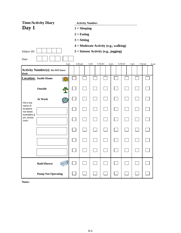|                                     | <b>Time/Activity Diary</b>                         | <b>Activity Number:</b> |                                        |         |      |         |      |                 |
|-------------------------------------|----------------------------------------------------|-------------------------|----------------------------------------|---------|------|---------|------|-----------------|
| Day 1                               |                                                    | $1 = Sleeping$          |                                        |         |      |         |      |                 |
|                                     |                                                    | $2 =$ Eating            |                                        |         |      |         |      |                 |
|                                     |                                                    | $3 = Sitting$           |                                        |         |      |         |      |                 |
|                                     |                                                    |                         | 4 = Moderate Activity (e.g., walking)  |         |      |         |      |                 |
| Subject ID:                         |                                                    |                         | $5 =$ Intense Activity (e.g., jogging) |         |      |         |      |                 |
| Date:                               |                                                    |                         |                                        |         |      |         |      |                 |
|                                     | 4 pm                                               | 4:30 pm                 | 5 pm                                   | 5:30 pm | 6 pm | 6:30 pm | 7 pm | 7:30 pm<br>8 pm |
| blank                               | <b>Activity Number(s): Do NOT leave</b>            |                         |                                        |         |      |         |      |                 |
|                                     | <b>Location:</b> Inside Home<br><b>for the set</b> |                         |                                        |         |      |         |      |                 |
|                                     | Outside                                            |                         |                                        |         |      |         |      |                 |
| Fill in the                         | At Work                                            |                         |                                        |         |      |         |      |                 |
| name of<br>locations<br>not listed; |                                                    |                         |                                        |         |      |         |      |                 |
| examples:g<br>ym, tennis<br>court   |                                                    |                         |                                        |         |      |         |      |                 |
|                                     |                                                    |                         |                                        |         |      |         |      |                 |
|                                     |                                                    |                         |                                        |         |      |         |      |                 |
|                                     |                                                    |                         |                                        |         |      |         |      |                 |
|                                     | <b>Bath/Shower</b>                                 |                         |                                        |         |      |         |      |                 |
|                                     | <b>Pump Not Operating</b>                          |                         |                                        |         |      |         |      |                 |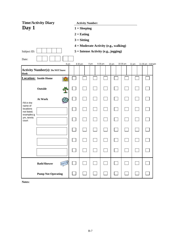|                                                   | <b>Time/Activity Diary</b>              |      | <b>Activity Number:</b>                |      |         |       |          |       |                   |
|---------------------------------------------------|-----------------------------------------|------|----------------------------------------|------|---------|-------|----------|-------|-------------------|
| Day 1                                             |                                         |      | $1 = Sleeping$                         |      |         |       |          |       |                   |
|                                                   |                                         |      | $2 =$ Eating                           |      |         |       |          |       |                   |
|                                                   |                                         |      | $3 = Sitting$                          |      |         |       |          |       |                   |
|                                                   |                                         |      | 4 = Moderate Activity (e.g., walking)  |      |         |       |          |       |                   |
| Subject ID:                                       |                                         |      | $5 =$ Intense Activity (e.g., jogging) |      |         |       |          |       |                   |
| Date:                                             |                                         |      |                                        |      |         |       |          |       |                   |
|                                                   |                                         | 8 pm | 8:30 pm                                | 9 pm | 9:30 pm | 10 pm | 10:30 pm | 11 pm | 11:30 pm midnight |
| blank                                             | <b>Activity Number(s): Do NOT leave</b> |      |                                        |      |         |       |          |       |                   |
|                                                   | <b>Location:</b> Inside Home<br>儞       |      |                                        |      |         |       |          |       |                   |
|                                                   | Outside                                 |      |                                        |      |         |       |          |       |                   |
| Fill in the                                       | At Work                                 |      |                                        |      |         |       |          |       |                   |
| name of<br>locations<br>not listed;<br>examples:g |                                         |      |                                        |      |         |       |          |       |                   |
| ym, tennis<br>court                               |                                         |      |                                        |      |         |       |          |       |                   |
|                                                   |                                         |      |                                        |      |         |       |          |       |                   |
|                                                   |                                         |      |                                        |      |         |       |          |       |                   |
|                                                   |                                         |      |                                        |      |         |       |          |       |                   |
|                                                   | <b>Bath/Shower</b>                      |      |                                        |      |         |       |          |       |                   |
|                                                   | <b>Pump Not Operating</b>               |      |                                        |      |         |       |          |       |                   |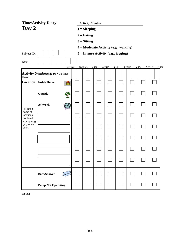|                                     | <b>Time/Activity Diary</b>                  |                                           |          |                                       |           |      |           |      |         |      |  |
|-------------------------------------|---------------------------------------------|-------------------------------------------|----------|---------------------------------------|-----------|------|-----------|------|---------|------|--|
| Day 2                               |                                             | <b>Activity Number:</b><br>$1 = Sleeping$ |          |                                       |           |      |           |      |         |      |  |
|                                     |                                             | $2 =$ Eating<br>$3 = Sitting$             |          |                                       |           |      |           |      |         |      |  |
|                                     |                                             |                                           |          |                                       |           |      |           |      |         |      |  |
|                                     |                                             |                                           |          | 4 = Moderate Activity (e.g., walking) |           |      |           |      |         |      |  |
| Subject ID:                         |                                             |                                           |          | 5 = Intense Activity (e.g., jogging)  |           |      |           |      |         |      |  |
| Date:                               |                                             |                                           |          |                                       |           |      |           |      |         |      |  |
|                                     | midnight                                    |                                           | 12:30 am | 1 am                                  | $1:30$ am | 2 am | $2:30$ am | 3 am | 3:30 am | 4 am |  |
| blank                               | <b>Activity Number(s): Do NOT leave</b>     |                                           |          |                                       |           |      |           |      |         |      |  |
|                                     | <b>Location:</b> Inside Home<br><b>fire</b> |                                           |          |                                       |           |      |           |      |         |      |  |
|                                     | Outside                                     |                                           |          |                                       |           |      |           |      |         |      |  |
| Fill in the                         | At Work                                     |                                           |          |                                       |           |      |           |      |         |      |  |
| name of<br>locations<br>not listed; |                                             |                                           |          |                                       |           |      |           |      |         |      |  |
| examples:g<br>ym, tennis<br>court   |                                             |                                           |          |                                       |           |      |           |      |         |      |  |
|                                     |                                             |                                           |          |                                       |           |      |           |      |         |      |  |
|                                     |                                             |                                           |          |                                       |           |      |           |      |         |      |  |
|                                     |                                             |                                           |          |                                       |           |      |           |      |         |      |  |
|                                     | <b>Bath/Shower</b>                          |                                           |          |                                       |           |      |           |      |         |      |  |
|                                     | <b>Pump Not Operating</b>                   |                                           |          |                                       |           |      |           |      |         |      |  |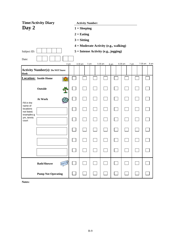|                                     | <b>Time/Activity Diary</b>              | <b>Activity Number:</b> |                                        |         |      |         |      |                   |
|-------------------------------------|-----------------------------------------|-------------------------|----------------------------------------|---------|------|---------|------|-------------------|
| Day 2                               |                                         | $1 = Sleeping$          |                                        |         |      |         |      |                   |
|                                     |                                         | $2 =$ Eating            |                                        |         |      |         |      |                   |
|                                     |                                         | $3 = Sitting$           |                                        |         |      |         |      |                   |
|                                     |                                         |                         | 4 = Moderate Activity (e.g., walking)  |         |      |         |      |                   |
| Subject ID:                         |                                         |                         | $5 =$ Intense Activity (e.g., jogging) |         |      |         |      |                   |
| Date:                               |                                         |                         |                                        |         |      |         |      |                   |
|                                     | 4 am                                    | 4:30 am                 | 5 am                                   | 5:30 am | 6 am | 6:30 am | 7 am | $7:30$ am<br>8 am |
| blank                               | <b>Activity Number(s): Do NOT leave</b> |                         |                                        |         |      |         |      |                   |
|                                     | <b>Location:</b> Inside Home<br>圃       |                         |                                        |         |      |         |      |                   |
|                                     | Outside                                 |                         |                                        |         |      |         |      |                   |
| Fill in the                         | At Work                                 |                         |                                        |         |      |         |      |                   |
| name of<br>locations<br>not listed; |                                         |                         |                                        |         |      |         |      |                   |
| examples:g<br>ym, tennis<br>court   |                                         |                         |                                        |         |      |         |      |                   |
|                                     |                                         |                         |                                        |         |      |         |      |                   |
|                                     |                                         |                         |                                        |         |      |         |      |                   |
|                                     |                                         |                         |                                        |         |      |         |      |                   |
|                                     | <b>Bath/Shower</b>                      |                         |                                        |         |      |         |      |                   |
|                                     | <b>Pump Not Operating</b>               |                         |                                        |         |      |         |      |                   |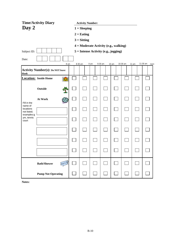|                                     | <b>Time/Activity Diary</b>              | <b>Activity Number:</b> |                                        |         |                  |          |       |                  |
|-------------------------------------|-----------------------------------------|-------------------------|----------------------------------------|---------|------------------|----------|-------|------------------|
| Day 2                               |                                         | $1 = Sleeping$          |                                        |         |                  |          |       |                  |
|                                     |                                         | $2 =$ Eating            |                                        |         |                  |          |       |                  |
|                                     |                                         | $3 = Sitting$           |                                        |         |                  |          |       |                  |
|                                     |                                         |                         | 4 = Moderate Activity (e.g., walking)  |         |                  |          |       |                  |
| Subject ID:                         |                                         |                         | $5 =$ Intense Activity (e.g., jogging) |         |                  |          |       |                  |
| Date:                               |                                         |                         |                                        |         |                  |          |       |                  |
|                                     | 8 am                                    | 8:30 am                 | 9 am                                   | 9:30 am | 10 <sub>am</sub> | 10:30 am | 11 am | 11:30 am<br>noon |
| blank                               | <b>Activity Number(s): Do NOT leave</b> |                         |                                        |         |                  |          |       |                  |
|                                     | <b>Location:</b> Inside Home<br>僵       |                         |                                        |         |                  |          |       |                  |
|                                     | Outside                                 |                         |                                        |         |                  |          |       |                  |
| Fill in the                         | At Work                                 |                         |                                        |         |                  |          |       |                  |
| name of<br>locations<br>not listed; |                                         |                         |                                        |         |                  |          |       |                  |
| examples:g<br>ym, tennis<br>court   |                                         |                         |                                        |         |                  |          |       |                  |
|                                     |                                         |                         |                                        |         |                  |          |       |                  |
|                                     |                                         |                         |                                        |         |                  |          |       |                  |
|                                     |                                         |                         |                                        |         |                  |          |       |                  |
|                                     | <b>Bath/Shower</b>                      |                         |                                        |         |                  |          |       |                  |
|                                     | <b>Pump Not Operating</b>               |                         |                                        |         |                  |          |       |                  |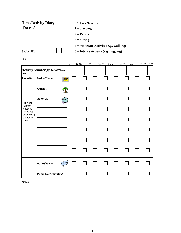|                                                                          | <b>Time/Activity Diary</b><br><b>Activity Number:</b> |                |                  |  |                   |  |                 |  |                 |
|--------------------------------------------------------------------------|-------------------------------------------------------|----------------|------------------|--|-------------------|--|-----------------|--|-----------------|
| Day 2                                                                    |                                                       | $1 = Sleeping$ |                  |  |                   |  |                 |  |                 |
|                                                                          |                                                       |                | $2 =$ Eating     |  |                   |  |                 |  |                 |
|                                                                          |                                                       |                | $3 = Sitting$    |  |                   |  |                 |  |                 |
| 4 = Moderate Activity (e.g., walking)                                    |                                                       |                |                  |  |                   |  |                 |  |                 |
| $5 =$ Intense Activity (e.g., jogging)<br>Subject ID:                    |                                                       |                |                  |  |                   |  |                 |  |                 |
| Date:                                                                    |                                                       |                |                  |  |                   |  |                 |  |                 |
|                                                                          | noon                                                  |                | 1 pm<br>12:30 pm |  | $1:30$ pm<br>2 pm |  | 2:30 pm<br>3 pm |  | 3:30 pm<br>4 pm |
| blank                                                                    | <b>Activity Number(s): Do NOT leave</b>               |                |                  |  |                   |  |                 |  |                 |
|                                                                          | <b>Location:</b> Inside Home<br>圃                     |                |                  |  |                   |  |                 |  |                 |
|                                                                          | Outside                                               |                |                  |  |                   |  |                 |  |                 |
| Fill in the                                                              | At Work                                               |                |                  |  |                   |  |                 |  |                 |
| name of<br>locations<br>not listed;<br>examples:g<br>ym, tennis<br>court |                                                       |                |                  |  |                   |  |                 |  |                 |
|                                                                          |                                                       |                |                  |  |                   |  |                 |  |                 |
|                                                                          |                                                       |                |                  |  |                   |  |                 |  |                 |
|                                                                          |                                                       |                |                  |  |                   |  |                 |  |                 |
|                                                                          |                                                       |                |                  |  |                   |  |                 |  |                 |
|                                                                          | <b>Bath/Shower</b>                                    |                |                  |  |                   |  |                 |  |                 |
|                                                                          | <b>Pump Not Operating</b>                             |                |                  |  |                   |  |                 |  |                 |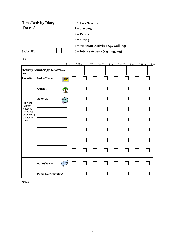|                                                                          | <b>Time/Activity Diary</b><br><b>Activity Number:</b> |  |               |                                       |         |      |         |      |                 |
|--------------------------------------------------------------------------|-------------------------------------------------------|--|---------------|---------------------------------------|---------|------|---------|------|-----------------|
| Day 2                                                                    | $1 = Sleeping$                                        |  |               |                                       |         |      |         |      |                 |
|                                                                          |                                                       |  | $2 =$ Eating  |                                       |         |      |         |      |                 |
|                                                                          |                                                       |  | $3 =$ Sitting |                                       |         |      |         |      |                 |
|                                                                          |                                                       |  |               | 4 = Moderate Activity (e.g., walking) |         |      |         |      |                 |
| $5 =$ Intense Activity (e.g., jogging)<br>Subject ID:                    |                                                       |  |               |                                       |         |      |         |      |                 |
| Date:                                                                    |                                                       |  |               |                                       |         |      |         |      |                 |
|                                                                          | 4 pm                                                  |  | 4:30 pm       | 5 pm                                  | 5:30 pm | 6 pm | 6:30 pm | 7 pm | 7:30 pm<br>8 pm |
| blank                                                                    | <b>Activity Number(s): Do NOT leave</b>               |  |               |                                       |         |      |         |      |                 |
|                                                                          | <b>Location:</b> Inside Home<br>圃                     |  |               |                                       |         |      |         |      |                 |
|                                                                          | Outside                                               |  |               |                                       |         |      |         |      |                 |
| Fill in the                                                              | At Work                                               |  |               |                                       |         |      |         |      |                 |
| name of<br>locations<br>not listed;<br>examples:g<br>ym, tennis<br>court |                                                       |  |               |                                       |         |      |         |      |                 |
|                                                                          |                                                       |  |               |                                       |         |      |         |      |                 |
|                                                                          |                                                       |  |               |                                       |         |      |         |      |                 |
|                                                                          |                                                       |  |               |                                       |         |      |         |      |                 |
|                                                                          |                                                       |  |               |                                       |         |      |         |      |                 |
|                                                                          | <b>Bath/Shower</b>                                    |  |               |                                       |         |      |         |      |                 |
|                                                                          | <b>Pump Not Operating</b>                             |  |               |                                       |         |      |         |      |                 |